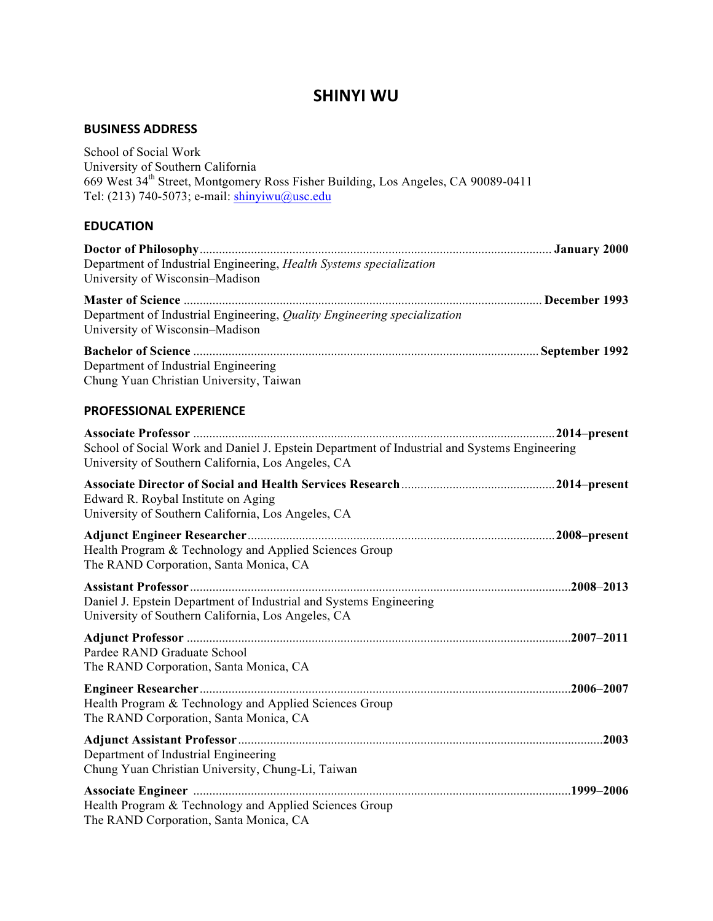# **SHINYI WU**

# **BUSINESS ADDRESS**

| School of Social Work<br>University of Southern California<br>669 West 34 <sup>th</sup> Street, Montgomery Ross Fisher Building, Los Angeles, CA 90089-0411<br>Tel: (213) 740-5073; e-mail: shinyiwu@usc.edu |  |
|--------------------------------------------------------------------------------------------------------------------------------------------------------------------------------------------------------------|--|
| <b>EDUCATION</b>                                                                                                                                                                                             |  |
| Department of Industrial Engineering, Health Systems specialization<br>University of Wisconsin-Madison                                                                                                       |  |
| Department of Industrial Engineering, Quality Engineering specialization<br>University of Wisconsin-Madison                                                                                                  |  |
| Department of Industrial Engineering<br>Chung Yuan Christian University, Taiwan                                                                                                                              |  |
| <b>PROFESSIONAL EXPERIENCE</b>                                                                                                                                                                               |  |
| School of Social Work and Daniel J. Epstein Department of Industrial and Systems Engineering<br>University of Southern California, Los Angeles, CA                                                           |  |
| Edward R. Roybal Institute on Aging<br>University of Southern California, Los Angeles, CA                                                                                                                    |  |
| Health Program & Technology and Applied Sciences Group<br>The RAND Corporation, Santa Monica, CA                                                                                                             |  |
| Daniel J. Epstein Department of Industrial and Systems Engineering<br>University of Southern California, Los Angeles, CA                                                                                     |  |
| Pardee RAND Graduate School<br>The RAND Corporation, Santa Monica, CA                                                                                                                                        |  |
| Health Program & Technology and Applied Sciences Group<br>The RAND Corporation, Santa Monica, CA                                                                                                             |  |
| Department of Industrial Engineering<br>Chung Yuan Christian University, Chung-Li, Taiwan                                                                                                                    |  |
| Health Program & Technology and Applied Sciences Group<br>The RAND Corporation, Santa Monica, CA                                                                                                             |  |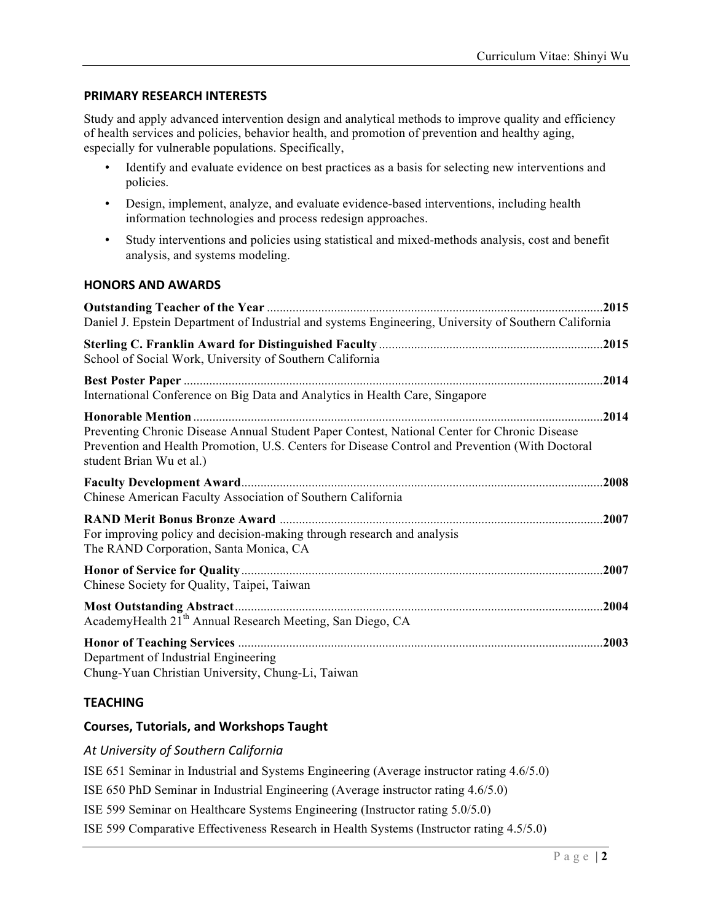### **PRIMARY RESEARCH INTERESTS**

Study and apply advanced intervention design and analytical methods to improve quality and efficiency of health services and policies, behavior health, and promotion of prevention and healthy aging, especially for vulnerable populations. Specifically,

- Identify and evaluate evidence on best practices as a basis for selecting new interventions and policies.
- Design, implement, analyze, and evaluate evidence-based interventions, including health information technologies and process redesign approaches.
- Study interventions and policies using statistical and mixed-methods analysis, cost and benefit analysis, and systems modeling.

### **HONORS AND AWARDS**

| Daniel J. Epstein Department of Industrial and systems Engineering, University of Southern California                                                                                                                       | .2015 |
|-----------------------------------------------------------------------------------------------------------------------------------------------------------------------------------------------------------------------------|-------|
| School of Social Work, University of Southern California                                                                                                                                                                    |       |
| International Conference on Big Data and Analytics in Health Care, Singapore                                                                                                                                                | .2014 |
| Preventing Chronic Disease Annual Student Paper Contest, National Center for Chronic Disease<br>Prevention and Health Promotion, U.S. Centers for Disease Control and Prevention (With Doctoral<br>student Brian Wu et al.) |       |
| Chinese American Faculty Association of Southern California                                                                                                                                                                 |       |
| For improving policy and decision-making through research and analysis<br>The RAND Corporation, Santa Monica, CA                                                                                                            | .2007 |
| Chinese Society for Quality, Taipei, Taiwan                                                                                                                                                                                 | .2007 |
| AcademyHealth 21 <sup>th</sup> Annual Research Meeting, San Diego, CA                                                                                                                                                       |       |
| Department of Industrial Engineering<br>Chung-Yuan Christian University, Chung-Li, Taiwan                                                                                                                                   | 2003  |

### **TEACHING**

### **Courses, Tutorials, and Workshops Taught**

### *At University of Southern California*

ISE 651 Seminar in Industrial and Systems Engineering (Average instructor rating 4.6/5.0)

ISE 650 PhD Seminar in Industrial Engineering (Average instructor rating 4.6/5.0)

ISE 599 Seminar on Healthcare Systems Engineering (Instructor rating 5.0/5.0)

ISE 599 Comparative Effectiveness Research in Health Systems (Instructor rating 4.5/5.0)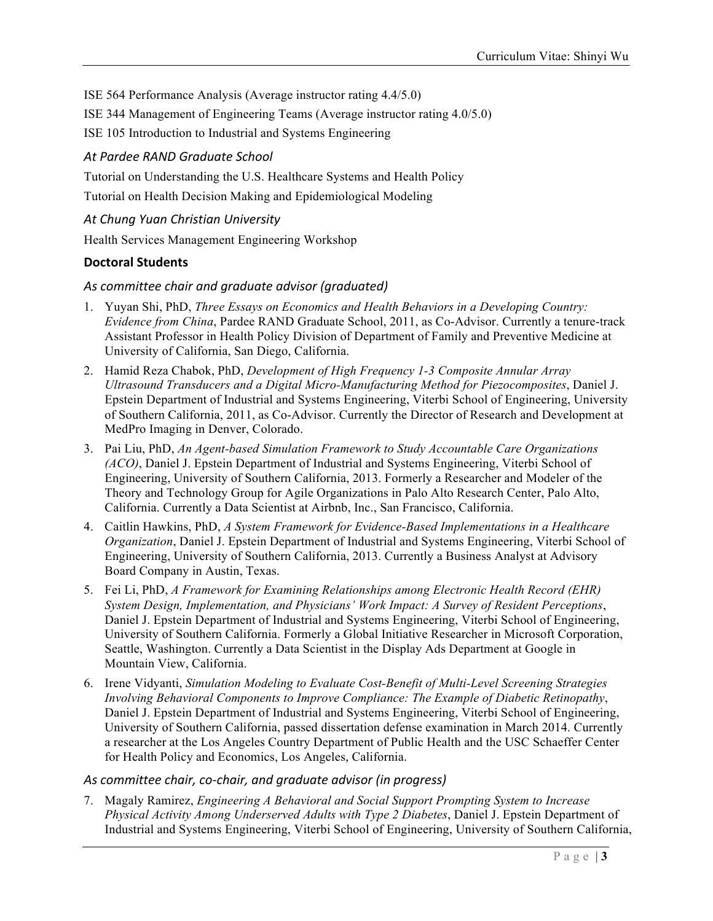ISE 564 Performance Analysis (Average instructor rating 4.4/5.0)

ISE 344 Management of Engineering Teams (Average instructor rating 4.0/5.0)

ISE 105 Introduction to Industrial and Systems Engineering

### *At Pardee RAND Graduate School*

Tutorial on Understanding the U.S. Healthcare Systems and Health Policy

Tutorial on Health Decision Making and Epidemiological Modeling

### *At Chung Yuan Christian University*

Health Services Management Engineering Workshop

### **Doctoral Students**

#### As committee chair and graduate advisor (graduated)

- 1. Yuyan Shi, PhD, *Three Essays on Economics and Health Behaviors in a Developing Country: Evidence from China*, Pardee RAND Graduate School, 2011, as Co-Advisor. Currently a tenure-track Assistant Professor in Health Policy Division of Department of Family and Preventive Medicine at University of California, San Diego, California.
- 2. Hamid Reza Chabok, PhD, *Development of High Frequency 1-3 Composite Annular Array Ultrasound Transducers and a Digital Micro-Manufacturing Method for Piezocomposites*, Daniel J. Epstein Department of Industrial and Systems Engineering, Viterbi School of Engineering, University of Southern California, 2011, as Co-Advisor. Currently the Director of Research and Development at MedPro Imaging in Denver, Colorado.
- 3. Pai Liu, PhD, *An Agent-based Simulation Framework to Study Accountable Care Organizations (ACO)*, Daniel J. Epstein Department of Industrial and Systems Engineering, Viterbi School of Engineering, University of Southern California, 2013. Formerly a Researcher and Modeler of the Theory and Technology Group for Agile Organizations in Palo Alto Research Center, Palo Alto, California. Currently a Data Scientist at Airbnb, Inc., San Francisco, California.
- 4. Caitlin Hawkins, PhD, *A System Framework for Evidence-Based Implementations in a Healthcare Organization*, Daniel J. Epstein Department of Industrial and Systems Engineering, Viterbi School of Engineering, University of Southern California, 2013. Currently a Business Analyst at Advisory Board Company in Austin, Texas.
- 5. Fei Li, PhD, *A Framework for Examining Relationships among Electronic Health Record (EHR) System Design, Implementation, and Physicians' Work Impact: A Survey of Resident Perceptions*, Daniel J. Epstein Department of Industrial and Systems Engineering, Viterbi School of Engineering, University of Southern California. Formerly a Global Initiative Researcher in Microsoft Corporation, Seattle, Washington. Currently a Data Scientist in the Display Ads Department at Google in Mountain View, California.
- 6. Irene Vidyanti, *Simulation Modeling to Evaluate Cost-Benefit of Multi-Level Screening Strategies Involving Behavioral Components to Improve Compliance: The Example of Diabetic Retinopathy*, Daniel J. Epstein Department of Industrial and Systems Engineering, Viterbi School of Engineering, University of Southern California, passed dissertation defense examination in March 2014. Currently a researcher at the Los Angeles Country Department of Public Health and the USC Schaeffer Center for Health Policy and Economics, Los Angeles, California.

### As committee chair, co-chair, and graduate advisor (in progress)

7. Magaly Ramirez, *Engineering A Behavioral and Social Support Prompting System to Increase Physical Activity Among Underserved Adults with Type 2 Diabetes*, Daniel J. Epstein Department of Industrial and Systems Engineering, Viterbi School of Engineering, University of Southern California,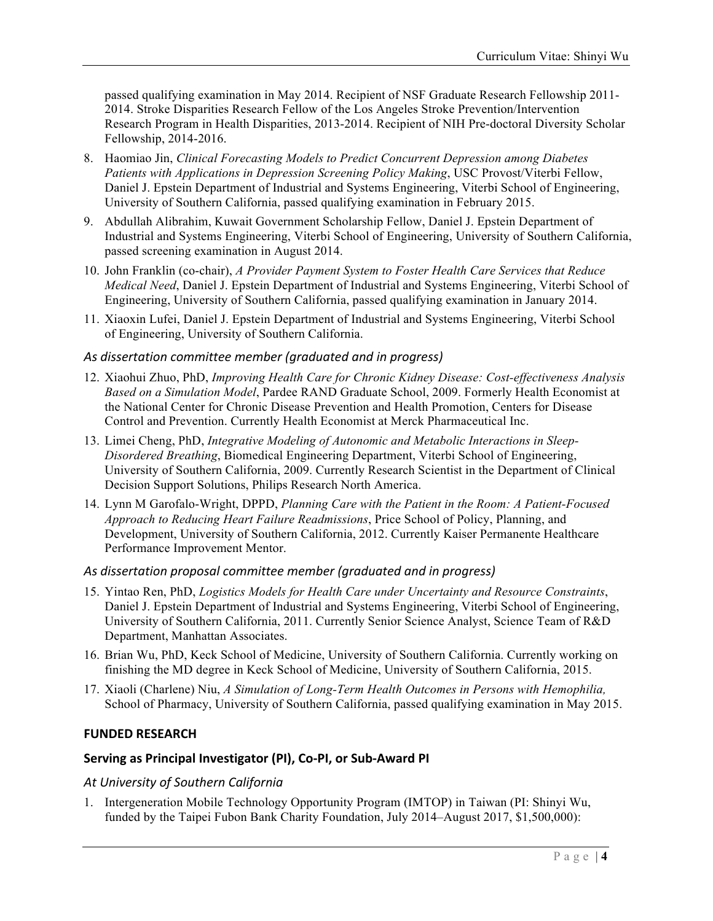passed qualifying examination in May 2014. Recipient of NSF Graduate Research Fellowship 2011- 2014. Stroke Disparities Research Fellow of the Los Angeles Stroke Prevention/Intervention Research Program in Health Disparities, 2013-2014. Recipient of NIH Pre-doctoral Diversity Scholar Fellowship, 2014-2016.

- 8. Haomiao Jin, *Clinical Forecasting Models to Predict Concurrent Depression among Diabetes Patients with Applications in Depression Screening Policy Making*, USC Provost/Viterbi Fellow, Daniel J. Epstein Department of Industrial and Systems Engineering, Viterbi School of Engineering, University of Southern California, passed qualifying examination in February 2015.
- 9. Abdullah Alibrahim, Kuwait Government Scholarship Fellow, Daniel J. Epstein Department of Industrial and Systems Engineering, Viterbi School of Engineering, University of Southern California, passed screening examination in August 2014.
- 10. John Franklin (co-chair), *A Provider Payment System to Foster Health Care Services that Reduce Medical Need*, Daniel J. Epstein Department of Industrial and Systems Engineering, Viterbi School of Engineering, University of Southern California, passed qualifying examination in January 2014.
- 11. Xiaoxin Lufei, Daniel J. Epstein Department of Industrial and Systems Engineering, Viterbi School of Engineering, University of Southern California.

### *As dissertation committee member (graduated and in progress)*

- 12. Xiaohui Zhuo, PhD, *Improving Health Care for Chronic Kidney Disease: Cost-effectiveness Analysis Based on a Simulation Model*, Pardee RAND Graduate School, 2009. Formerly Health Economist at the National Center for Chronic Disease Prevention and Health Promotion, Centers for Disease Control and Prevention. Currently Health Economist at Merck Pharmaceutical Inc.
- 13. Limei Cheng, PhD, *Integrative Modeling of Autonomic and Metabolic Interactions in Sleep-Disordered Breathing*, Biomedical Engineering Department, Viterbi School of Engineering, University of Southern California, 2009. Currently Research Scientist in the Department of Clinical Decision Support Solutions, Philips Research North America.
- 14. Lynn M Garofalo-Wright, DPPD, *Planning Care with the Patient in the Room: A Patient-Focused Approach to Reducing Heart Failure Readmissions*, Price School of Policy, Planning, and Development, University of Southern California, 2012. Currently Kaiser Permanente Healthcare Performance Improvement Mentor.

#### *As dissertation proposal committee member (graduated and in progress)*

- 15. Yintao Ren, PhD, *Logistics Models for Health Care under Uncertainty and Resource Constraints*, Daniel J. Epstein Department of Industrial and Systems Engineering, Viterbi School of Engineering, University of Southern California, 2011. Currently Senior Science Analyst, Science Team of R&D Department, Manhattan Associates.
- 16. Brian Wu, PhD, Keck School of Medicine, University of Southern California. Currently working on finishing the MD degree in Keck School of Medicine, University of Southern California, 2015.
- 17. Xiaoli (Charlene) Niu, *A Simulation of Long-Term Health Outcomes in Persons with Hemophilia,* School of Pharmacy, University of Southern California, passed qualifying examination in May 2015.

#### **FUNDED RESEARCH**

### Serving as Principal Investigator (PI), Co-PI, or Sub-Award PI

#### *At University of Southern California*

1. Intergeneration Mobile Technology Opportunity Program (IMTOP) in Taiwan (PI: Shinyi Wu, funded by the Taipei Fubon Bank Charity Foundation, July 2014–August 2017, \$1,500,000):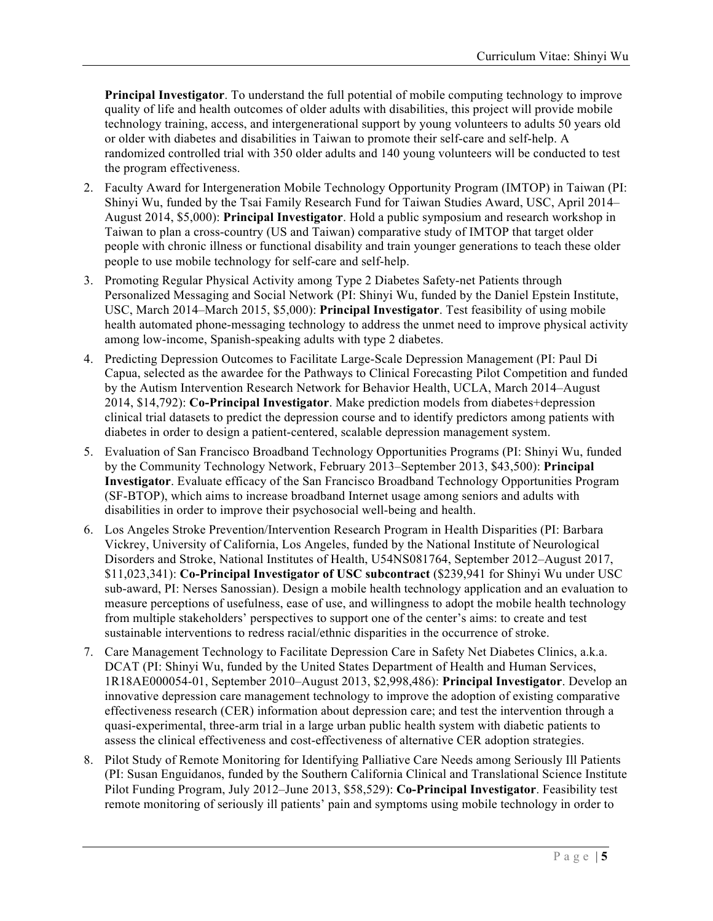**Principal Investigator**. To understand the full potential of mobile computing technology to improve quality of life and health outcomes of older adults with disabilities, this project will provide mobile technology training, access, and intergenerational support by young volunteers to adults 50 years old or older with diabetes and disabilities in Taiwan to promote their self-care and self-help. A randomized controlled trial with 350 older adults and 140 young volunteers will be conducted to test the program effectiveness.

- 2. Faculty Award for Intergeneration Mobile Technology Opportunity Program (IMTOP) in Taiwan (PI: Shinyi Wu, funded by the Tsai Family Research Fund for Taiwan Studies Award, USC, April 2014– August 2014, \$5,000): **Principal Investigator**. Hold a public symposium and research workshop in Taiwan to plan a cross-country (US and Taiwan) comparative study of IMTOP that target older people with chronic illness or functional disability and train younger generations to teach these older people to use mobile technology for self-care and self-help.
- 3. Promoting Regular Physical Activity among Type 2 Diabetes Safety-net Patients through Personalized Messaging and Social Network (PI: Shinyi Wu, funded by the Daniel Epstein Institute, USC, March 2014–March 2015, \$5,000): **Principal Investigator**. Test feasibility of using mobile health automated phone-messaging technology to address the unmet need to improve physical activity among low-income, Spanish-speaking adults with type 2 diabetes.
- 4. Predicting Depression Outcomes to Facilitate Large-Scale Depression Management (PI: Paul Di Capua, selected as the awardee for the Pathways to Clinical Forecasting Pilot Competition and funded by the Autism Intervention Research Network for Behavior Health, UCLA, March 2014–August 2014, \$14,792): **Co-Principal Investigator**. Make prediction models from diabetes+depression clinical trial datasets to predict the depression course and to identify predictors among patients with diabetes in order to design a patient-centered, scalable depression management system.
- 5. Evaluation of San Francisco Broadband Technology Opportunities Programs (PI: Shinyi Wu, funded by the Community Technology Network, February 2013–September 2013, \$43,500): **Principal Investigator**. Evaluate efficacy of the San Francisco Broadband Technology Opportunities Program (SF-BTOP), which aims to increase broadband Internet usage among seniors and adults with disabilities in order to improve their psychosocial well-being and health.
- 6. Los Angeles Stroke Prevention/Intervention Research Program in Health Disparities (PI: Barbara Vickrey, University of California, Los Angeles, funded by the National Institute of Neurological Disorders and Stroke, National Institutes of Health, U54NS081764, September 2012–August 2017, \$11,023,341): **Co-Principal Investigator of USC subcontract** (\$239,941 for Shinyi Wu under USC sub-award, PI: Nerses Sanossian). Design a mobile health technology application and an evaluation to measure perceptions of usefulness, ease of use, and willingness to adopt the mobile health technology from multiple stakeholders' perspectives to support one of the center's aims: to create and test sustainable interventions to redress racial/ethnic disparities in the occurrence of stroke.
- 7. Care Management Technology to Facilitate Depression Care in Safety Net Diabetes Clinics, a.k.a. DCAT (PI: Shinyi Wu, funded by the United States Department of Health and Human Services, 1R18AE000054-01, September 2010–August 2013, \$2,998,486): **Principal Investigator**. Develop an innovative depression care management technology to improve the adoption of existing comparative effectiveness research (CER) information about depression care; and test the intervention through a quasi-experimental, three-arm trial in a large urban public health system with diabetic patients to assess the clinical effectiveness and cost-effectiveness of alternative CER adoption strategies.
- 8. Pilot Study of Remote Monitoring for Identifying Palliative Care Needs among Seriously Ill Patients (PI: Susan Enguidanos, funded by the Southern California Clinical and Translational Science Institute Pilot Funding Program, July 2012–June 2013, \$58,529): **Co-Principal Investigator**. Feasibility test remote monitoring of seriously ill patients' pain and symptoms using mobile technology in order to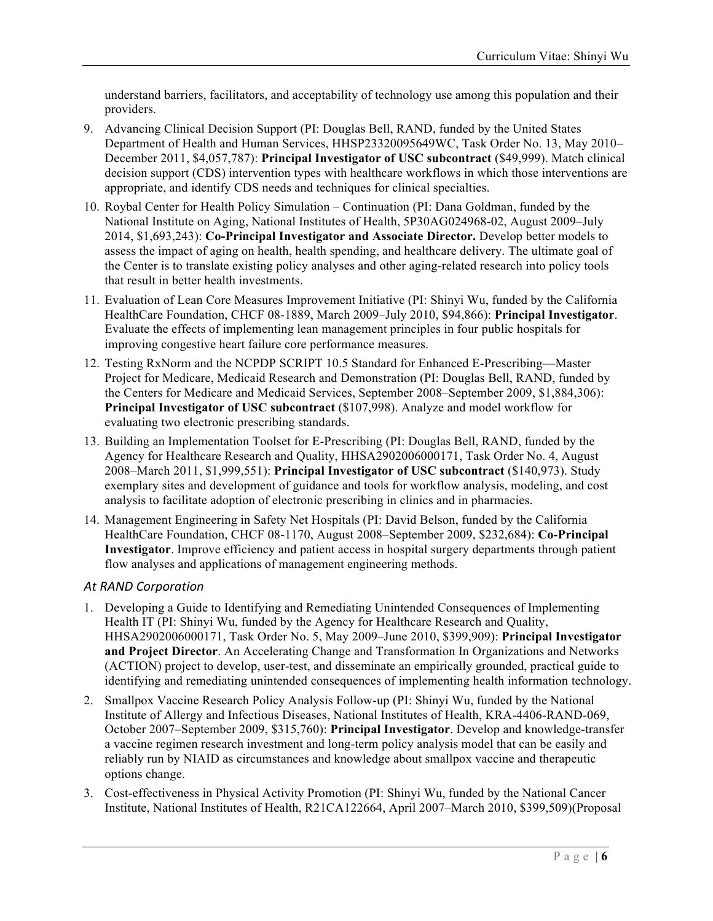understand barriers, facilitators, and acceptability of technology use among this population and their providers.

- 9. Advancing Clinical Decision Support (PI: Douglas Bell, RAND, funded by the United States Department of Health and Human Services, HHSP23320095649WC, Task Order No. 13, May 2010– December 2011, \$4,057,787): **Principal Investigator of USC subcontract** (\$49,999). Match clinical decision support (CDS) intervention types with healthcare workflows in which those interventions are appropriate, and identify CDS needs and techniques for clinical specialties.
- 10. Roybal Center for Health Policy Simulation Continuation (PI: Dana Goldman, funded by the National Institute on Aging, National Institutes of Health, 5P30AG024968-02, August 2009–July 2014, \$1,693,243): **Co-Principal Investigator and Associate Director.** Develop better models to assess the impact of aging on health, health spending, and healthcare delivery. The ultimate goal of the Center is to translate existing policy analyses and other aging-related research into policy tools that result in better health investments.
- 11. Evaluation of Lean Core Measures Improvement Initiative (PI: Shinyi Wu, funded by the California HealthCare Foundation, CHCF 08-1889, March 2009–July 2010, \$94,866): **Principal Investigator**. Evaluate the effects of implementing lean management principles in four public hospitals for improving congestive heart failure core performance measures.
- 12. Testing RxNorm and the NCPDP SCRIPT 10.5 Standard for Enhanced E-Prescribing—Master Project for Medicare, Medicaid Research and Demonstration (PI: Douglas Bell, RAND, funded by the Centers for Medicare and Medicaid Services, September 2008–September 2009, \$1,884,306): **Principal Investigator of USC subcontract** (\$107,998). Analyze and model workflow for evaluating two electronic prescribing standards.
- 13. Building an Implementation Toolset for E-Prescribing (PI: Douglas Bell, RAND, funded by the Agency for Healthcare Research and Quality, HHSA2902006000171, Task Order No. 4, August 2008–March 2011, \$1,999,551): **Principal Investigator of USC subcontract** (\$140,973). Study exemplary sites and development of guidance and tools for workflow analysis, modeling, and cost analysis to facilitate adoption of electronic prescribing in clinics and in pharmacies.
- 14. Management Engineering in Safety Net Hospitals (PI: David Belson, funded by the California HealthCare Foundation, CHCF 08-1170, August 2008–September 2009, \$232,684): **Co-Principal Investigator**. Improve efficiency and patient access in hospital surgery departments through patient flow analyses and applications of management engineering methods.

#### *At RAND Corporation*

- 1. Developing a Guide to Identifying and Remediating Unintended Consequences of Implementing Health IT (PI: Shinyi Wu, funded by the Agency for Healthcare Research and Quality, HHSA2902006000171, Task Order No. 5, May 2009–June 2010, \$399,909): **Principal Investigator and Project Director**. An Accelerating Change and Transformation In Organizations and Networks (ACTION) project to develop, user-test, and disseminate an empirically grounded, practical guide to identifying and remediating unintended consequences of implementing health information technology.
- 2. Smallpox Vaccine Research Policy Analysis Follow-up (PI: Shinyi Wu, funded by the National Institute of Allergy and Infectious Diseases, National Institutes of Health, KRA-4406-RAND-069, October 2007–September 2009, \$315,760): **Principal Investigator**. Develop and knowledge-transfer a vaccine regimen research investment and long-term policy analysis model that can be easily and reliably run by NIAID as circumstances and knowledge about smallpox vaccine and therapeutic options change.
- 3. Cost-effectiveness in Physical Activity Promotion (PI: Shinyi Wu, funded by the National Cancer Institute, National Institutes of Health, R21CA122664, April 2007–March 2010, \$399,509)(Proposal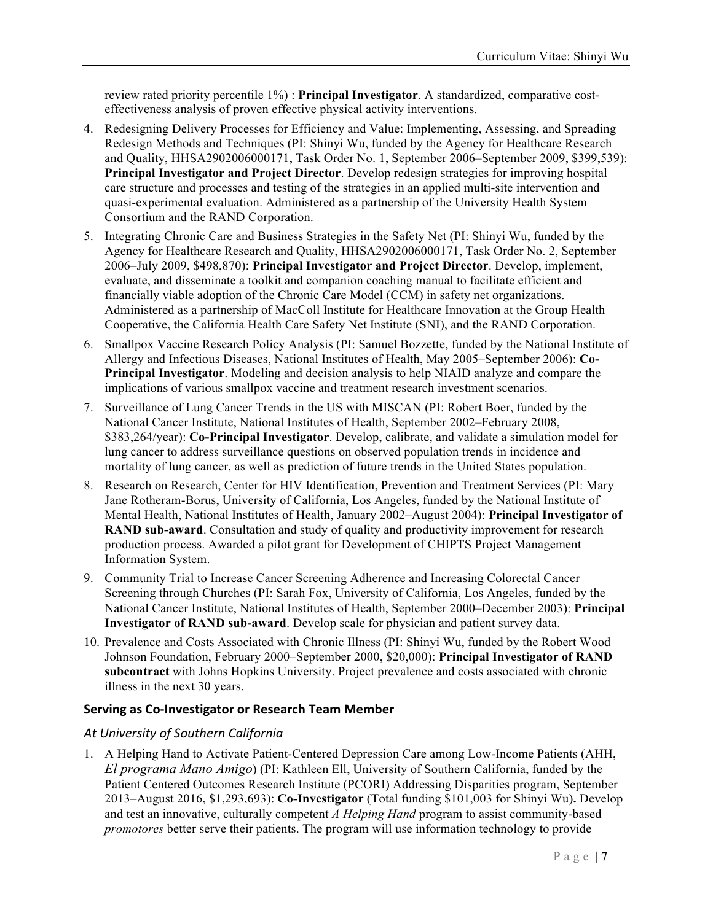review rated priority percentile 1%) : **Principal Investigator**. A standardized, comparative costeffectiveness analysis of proven effective physical activity interventions.

- 4. Redesigning Delivery Processes for Efficiency and Value: Implementing, Assessing, and Spreading Redesign Methods and Techniques (PI: Shinyi Wu, funded by the Agency for Healthcare Research and Quality, HHSA2902006000171, Task Order No. 1, September 2006–September 2009, \$399,539): **Principal Investigator and Project Director**. Develop redesign strategies for improving hospital care structure and processes and testing of the strategies in an applied multi-site intervention and quasi-experimental evaluation. Administered as a partnership of the University Health System Consortium and the RAND Corporation.
- 5. Integrating Chronic Care and Business Strategies in the Safety Net (PI: Shinyi Wu, funded by the Agency for Healthcare Research and Quality, HHSA2902006000171, Task Order No. 2, September 2006–July 2009, \$498,870): **Principal Investigator and Project Director**. Develop, implement, evaluate, and disseminate a toolkit and companion coaching manual to facilitate efficient and financially viable adoption of the Chronic Care Model (CCM) in safety net organizations. Administered as a partnership of MacColl Institute for Healthcare Innovation at the Group Health Cooperative, the California Health Care Safety Net Institute (SNI), and the RAND Corporation.
- 6. Smallpox Vaccine Research Policy Analysis (PI: Samuel Bozzette, funded by the National Institute of Allergy and Infectious Diseases, National Institutes of Health, May 2005–September 2006): **Co-Principal Investigator**. Modeling and decision analysis to help NIAID analyze and compare the implications of various smallpox vaccine and treatment research investment scenarios.
- 7. Surveillance of Lung Cancer Trends in the US with MISCAN (PI: Robert Boer, funded by the National Cancer Institute, National Institutes of Health, September 2002–February 2008, \$383,264/year): **Co-Principal Investigator**. Develop, calibrate, and validate a simulation model for lung cancer to address surveillance questions on observed population trends in incidence and mortality of lung cancer, as well as prediction of future trends in the United States population.
- 8. Research on Research, Center for HIV Identification, Prevention and Treatment Services (PI: Mary Jane Rotheram-Borus, University of California, Los Angeles, funded by the National Institute of Mental Health, National Institutes of Health, January 2002–August 2004): **Principal Investigator of RAND sub-award**. Consultation and study of quality and productivity improvement for research production process. Awarded a pilot grant for Development of CHIPTS Project Management Information System.
- 9. Community Trial to Increase Cancer Screening Adherence and Increasing Colorectal Cancer Screening through Churches (PI: Sarah Fox, University of California, Los Angeles, funded by the National Cancer Institute, National Institutes of Health, September 2000–December 2003): **Principal Investigator of RAND sub-award**. Develop scale for physician and patient survey data.
- 10. Prevalence and Costs Associated with Chronic Illness (PI: Shinyi Wu, funded by the Robert Wood Johnson Foundation, February 2000–September 2000, \$20,000): **Principal Investigator of RAND subcontract** with Johns Hopkins University. Project prevalence and costs associated with chronic illness in the next 30 years.

### **Serving as Co-Investigator or Research Team Member**

### *At University of Southern California*

1. A Helping Hand to Activate Patient-Centered Depression Care among Low-Income Patients (AHH, *El programa Mano Amigo*) (PI: Kathleen Ell, University of Southern California, funded by the Patient Centered Outcomes Research Institute (PCORI) Addressing Disparities program, September 2013–August 2016, \$1,293,693): **Co-Investigator** (Total funding \$101,003 for Shinyi Wu)**.** Develop and test an innovative, culturally competent *A Helping Hand* program to assist community-based *promotores* better serve their patients. The program will use information technology to provide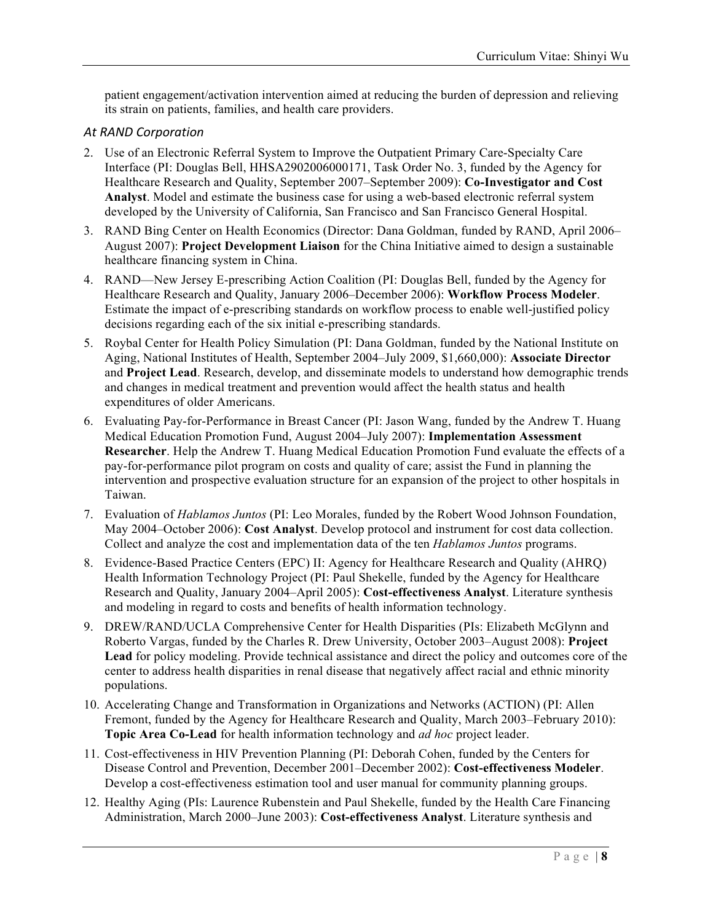patient engagement/activation intervention aimed at reducing the burden of depression and relieving its strain on patients, families, and health care providers.

#### *At RAND Corporation*

- 2. Use of an Electronic Referral System to Improve the Outpatient Primary Care-Specialty Care Interface (PI: Douglas Bell, HHSA2902006000171, Task Order No. 3, funded by the Agency for Healthcare Research and Quality, September 2007–September 2009): **Co-Investigator and Cost Analyst**. Model and estimate the business case for using a web-based electronic referral system developed by the University of California, San Francisco and San Francisco General Hospital.
- 3. RAND Bing Center on Health Economics (Director: Dana Goldman, funded by RAND, April 2006– August 2007): **Project Development Liaison** for the China Initiative aimed to design a sustainable healthcare financing system in China.
- 4. RAND—New Jersey E-prescribing Action Coalition (PI: Douglas Bell, funded by the Agency for Healthcare Research and Quality, January 2006–December 2006): **Workflow Process Modeler**. Estimate the impact of e-prescribing standards on workflow process to enable well-justified policy decisions regarding each of the six initial e-prescribing standards.
- 5. Roybal Center for Health Policy Simulation (PI: Dana Goldman, funded by the National Institute on Aging, National Institutes of Health, September 2004–July 2009, \$1,660,000): **Associate Director** and **Project Lead**. Research, develop, and disseminate models to understand how demographic trends and changes in medical treatment and prevention would affect the health status and health expenditures of older Americans.
- 6. Evaluating Pay-for-Performance in Breast Cancer (PI: Jason Wang, funded by the Andrew T. Huang Medical Education Promotion Fund, August 2004–July 2007): **Implementation Assessment Researcher**. Help the Andrew T. Huang Medical Education Promotion Fund evaluate the effects of a pay-for-performance pilot program on costs and quality of care; assist the Fund in planning the intervention and prospective evaluation structure for an expansion of the project to other hospitals in Taiwan.
- 7. Evaluation of *Hablamos Juntos* (PI: Leo Morales, funded by the Robert Wood Johnson Foundation, May 2004–October 2006): **Cost Analyst**. Develop protocol and instrument for cost data collection. Collect and analyze the cost and implementation data of the ten *Hablamos Juntos* programs.
- 8. Evidence-Based Practice Centers (EPC) II: Agency for Healthcare Research and Quality (AHRQ) Health Information Technology Project (PI: Paul Shekelle, funded by the Agency for Healthcare Research and Quality, January 2004–April 2005): **Cost-effectiveness Analyst**. Literature synthesis and modeling in regard to costs and benefits of health information technology.
- 9. DREW/RAND/UCLA Comprehensive Center for Health Disparities (PIs: Elizabeth McGlynn and Roberto Vargas, funded by the Charles R. Drew University, October 2003–August 2008): **Project Lead** for policy modeling. Provide technical assistance and direct the policy and outcomes core of the center to address health disparities in renal disease that negatively affect racial and ethnic minority populations.
- 10. Accelerating Change and Transformation in Organizations and Networks (ACTION) (PI: Allen Fremont, funded by the Agency for Healthcare Research and Quality, March 2003–February 2010): **Topic Area Co-Lead** for health information technology and *ad hoc* project leader.
- 11. Cost-effectiveness in HIV Prevention Planning (PI: Deborah Cohen, funded by the Centers for Disease Control and Prevention, December 2001–December 2002): **Cost-effectiveness Modeler**. Develop a cost-effectiveness estimation tool and user manual for community planning groups.
- 12. Healthy Aging (PIs: Laurence Rubenstein and Paul Shekelle, funded by the Health Care Financing Administration, March 2000–June 2003): **Cost-effectiveness Analyst**. Literature synthesis and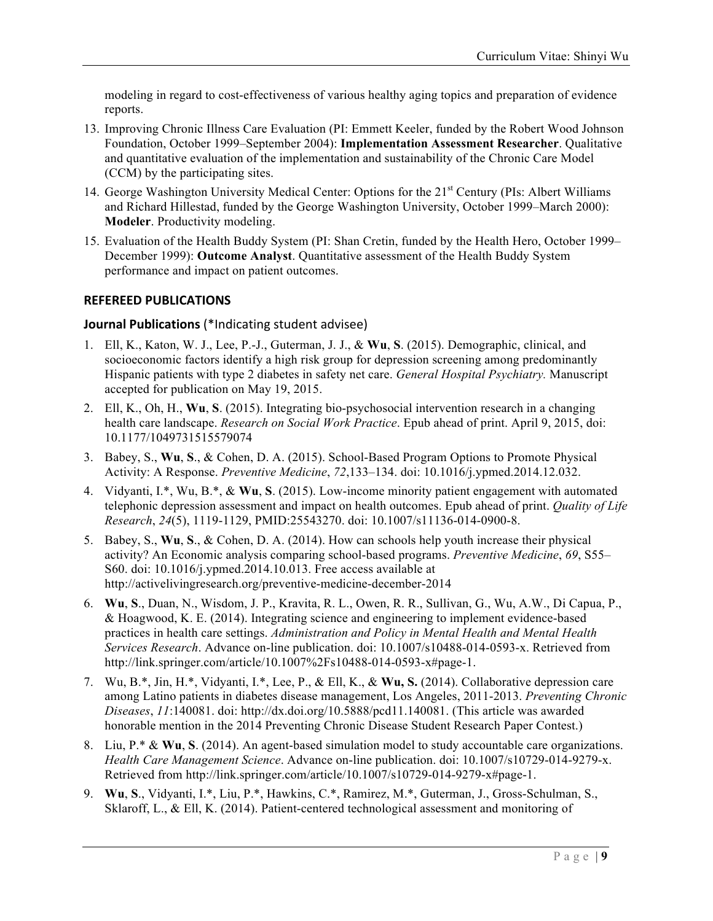modeling in regard to cost-effectiveness of various healthy aging topics and preparation of evidence reports.

- 13. Improving Chronic Illness Care Evaluation (PI: Emmett Keeler, funded by the Robert Wood Johnson Foundation, October 1999–September 2004): **Implementation Assessment Researcher**. Qualitative and quantitative evaluation of the implementation and sustainability of the Chronic Care Model (CCM) by the participating sites.
- 14. George Washington University Medical Center: Options for the 21<sup>st</sup> Century (PIs: Albert Williams and Richard Hillestad, funded by the George Washington University, October 1999–March 2000): **Modeler**. Productivity modeling.
- 15. Evaluation of the Health Buddy System (PI: Shan Cretin, funded by the Health Hero, October 1999– December 1999): **Outcome Analyst**. Quantitative assessment of the Health Buddy System performance and impact on patient outcomes.

### **REFEREED PUBLICATIONS**

#### **Journal Publications** (\*Indicating student advisee)

- 1. Ell, K., Katon, W. J., Lee, P.-J., Guterman, J. J., & **Wu**, **S**. (2015). Demographic, clinical, and socioeconomic factors identify a high risk group for depression screening among predominantly Hispanic patients with type 2 diabetes in safety net care. *General Hospital Psychiatry.* Manuscript accepted for publication on May 19, 2015.
- 2. Ell, K., Oh, H., **Wu**, **S**. (2015). Integrating bio-psychosocial intervention research in a changing health care landscape. *Research on Social Work Practice*. Epub ahead of print. April 9, 2015, doi: 10.1177/1049731515579074
- 3. Babey, S., **Wu**, **S**., & Cohen, D. A. (2015). School-Based Program Options to Promote Physical Activity: A Response. *Preventive Medicine*, *72*,133–134. doi: 10.1016/j.ypmed.2014.12.032.
- 4. Vidyanti, I.\*, Wu, B.\*, & **Wu**, **S**. (2015). Low-income minority patient engagement with automated telephonic depression assessment and impact on health outcomes. Epub ahead of print. *Quality of Life Research*, *24*(5), 1119-1129, PMID:25543270. doi: 10.1007/s11136-014-0900-8.
- 5. Babey, S., **Wu**, **S**., & Cohen, D. A. (2014). How can schools help youth increase their physical activity? An Economic analysis comparing school-based programs. *Preventive Medicine*, *69*, S55– S60. doi: 10.1016/j.ypmed.2014.10.013. Free access available at http://activelivingresearch.org/preventive-medicine-december-2014
- 6. **Wu**, **S**., Duan, N., Wisdom, J. P., Kravita, R. L., Owen, R. R., Sullivan, G., Wu, A.W., Di Capua, P., & Hoagwood, K. E. (2014). Integrating science and engineering to implement evidence-based practices in health care settings. *Administration and Policy in Mental Health and Mental Health Services Research*. Advance on-line publication. doi: 10.1007/s10488-014-0593-x. Retrieved from http://link.springer.com/article/10.1007%2Fs10488-014-0593-x#page-1.
- 7. Wu, B.\*, Jin, H.\*, Vidyanti, I.\*, Lee, P., & Ell, K., & **Wu, S.** (2014). Collaborative depression care among Latino patients in diabetes disease management, Los Angeles, 2011-2013. *Preventing Chronic Diseases*, *11*:140081. doi: http://dx.doi.org/10.5888/pcd11.140081. (This article was awarded honorable mention in the 2014 Preventing Chronic Disease Student Research Paper Contest.)
- 8. Liu, P.\* & **Wu**, **S**. (2014). An agent-based simulation model to study accountable care organizations. *Health Care Management Science*. Advance on-line publication. doi: 10.1007/s10729-014-9279-x. Retrieved from http://link.springer.com/article/10.1007/s10729-014-9279-x#page-1.
- 9. **Wu**, **S**., Vidyanti, I.\*, Liu, P.\*, Hawkins, C.\*, Ramirez, M.\*, Guterman, J., Gross-Schulman, S., Sklaroff, L., & Ell, K. (2014). Patient-centered technological assessment and monitoring of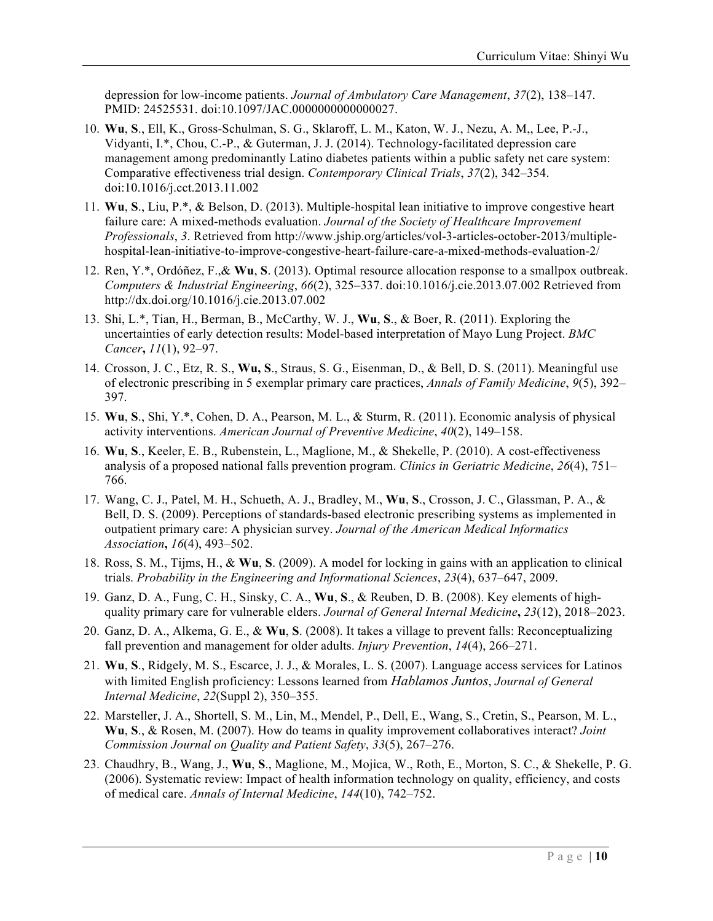depression for low-income patients. *Journal of Ambulatory Care Management*, *37*(2), 138–147. PMID: 24525531. doi:10.1097/JAC.0000000000000027.

- 10. **Wu**, **S**., Ell, K., Gross-Schulman, S. G., Sklaroff, L. M., Katon, W. J., Nezu, A. M,, Lee, P.-J., Vidyanti, I.\*, Chou, C.-P., & Guterman, J. J. (2014). Technology-facilitated depression care management among predominantly Latino diabetes patients within a public safety net care system: Comparative effectiveness trial design. *Contemporary Clinical Trials*, *37*(2), 342–354. doi:10.1016/j.cct.2013.11.002
- 11. **Wu**, **S**., Liu, P.\*, & Belson, D. (2013). Multiple-hospital lean initiative to improve congestive heart failure care: A mixed-methods evaluation. *Journal of the Society of Healthcare Improvement Professionals*, *3*. Retrieved from http://www.jship.org/articles/vol-3-articles-october-2013/multiplehospital-lean-initiative-to-improve-congestive-heart-failure-care-a-mixed-methods-evaluation-2/
- 12. Ren, Y.\*, Ordóñez, F.,& **Wu**, **S**. (2013). Optimal resource allocation response to a smallpox outbreak. *Computers & Industrial Engineering*, *66*(2), 325–337. doi:10.1016/j.cie.2013.07.002 Retrieved from http://dx.doi.org/10.1016/j.cie.2013.07.002
- 13. Shi, L.\*, Tian, H., Berman, B., McCarthy, W. J., **Wu**, **S**., & Boer, R. (2011). Exploring the uncertainties of early detection results: Model-based interpretation of Mayo Lung Project. *BMC Cancer***,** *11*(1), 92–97.
- 14. Crosson, J. C., Etz, R. S., **Wu, S**., Straus, S. G., Eisenman, D., & Bell, D. S. (2011). Meaningful use of electronic prescribing in 5 exemplar primary care practices, *Annals of Family Medicine*, *9*(5), 392– 397.
- 15. **Wu**, **S**., Shi, Y.\*, Cohen, D. A., Pearson, M. L., & Sturm, R. (2011). Economic analysis of physical activity interventions. *American Journal of Preventive Medicine*, *40*(2), 149–158.
- 16. **Wu**, **S**., Keeler, E. B., Rubenstein, L., Maglione, M., & Shekelle, P. (2010). A cost-effectiveness analysis of a proposed national falls prevention program. *Clinics in Geriatric Medicine*, *26*(4), 751– 766.
- 17. Wang, C. J., Patel, M. H., Schueth, A. J., Bradley, M., **Wu**, **S**., Crosson, J. C., Glassman, P. A., & Bell, D. S. (2009). Perceptions of standards-based electronic prescribing systems as implemented in outpatient primary care: A physician survey. *Journal of the American Medical Informatics Association***,** *16*(4), 493–502.
- 18. Ross, S. M., Tijms, H., & **Wu**, **S**. (2009). A model for locking in gains with an application to clinical trials. *Probability in the Engineering and Informational Sciences*, *23*(4), 637–647, 2009.
- 19. Ganz, D. A., Fung, C. H., Sinsky, C. A., **Wu**, **S**., & Reuben, D. B. (2008). Key elements of highquality primary care for vulnerable elders. *Journal of General Internal Medicine***,** *23*(12), 2018–2023.
- 20. Ganz, D. A., Alkema, G. E., & **Wu**, **S**. (2008). It takes a village to prevent falls: Reconceptualizing fall prevention and management for older adults. *Injury Prevention*, *14*(4), 266–271.
- 21. **Wu**, **S**., Ridgely, M. S., Escarce, J. J., & Morales, L. S. (2007). Language access services for Latinos with limited English proficiency: Lessons learned from *Hablamos Juntos*, *Journal of General Internal Medicine*, *22*(Suppl 2), 350–355.
- 22. Marsteller, J. A., Shortell, S. M., Lin, M., Mendel, P., Dell, E., Wang, S., Cretin, S., Pearson, M. L., **Wu**, **S**., & Rosen, M. (2007). How do teams in quality improvement collaboratives interact? *Joint Commission Journal on Quality and Patient Safety*, *33*(5), 267–276.
- 23. Chaudhry, B., Wang, J., **Wu**, **S**., Maglione, M., Mojica, W., Roth, E., Morton, S. C., & Shekelle, P. G. (2006). Systematic review: Impact of health information technology on quality, efficiency, and costs of medical care. *Annals of Internal Medicine*, *144*(10), 742–752.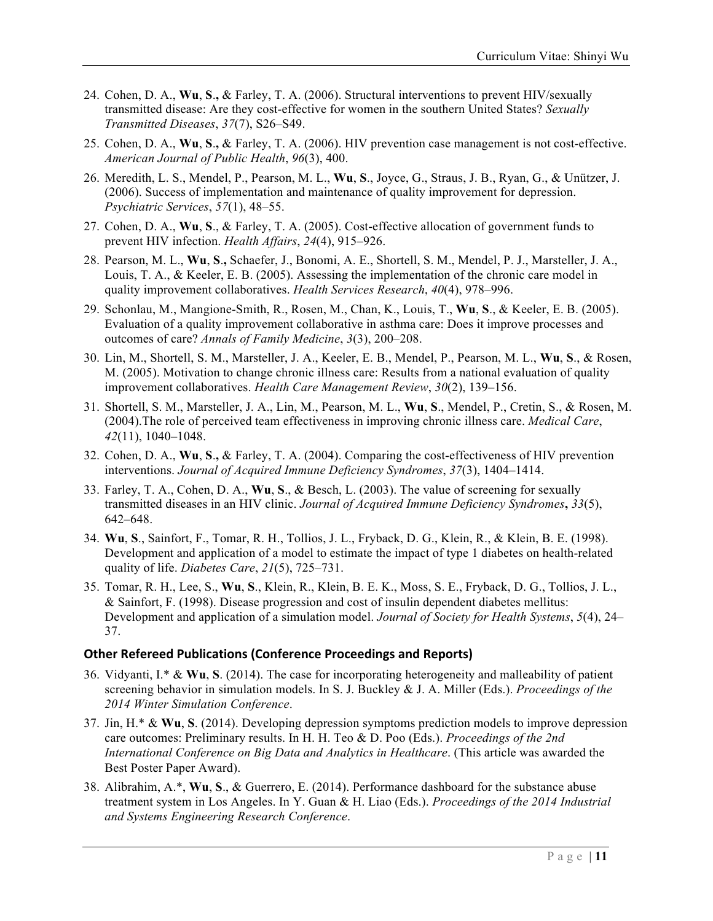- 24. Cohen, D. A., **Wu**, **S**.**,** & Farley, T. A. (2006). Structural interventions to prevent HIV/sexually transmitted disease: Are they cost-effective for women in the southern United States? *Sexually Transmitted Diseases*, *37*(7), S26–S49.
- 25. Cohen, D. A., **Wu**, **S**.**,** & Farley, T. A. (2006). HIV prevention case management is not cost-effective. *American Journal of Public Health*, *96*(3), 400.
- 26. Meredith, L. S., Mendel, P., Pearson, M. L., **Wu**, **S**., Joyce, G., Straus, J. B., Ryan, G., & Unützer, J. (2006). Success of implementation and maintenance of quality improvement for depression. *Psychiatric Services*, *57*(1), 48–55.
- 27. Cohen, D. A., **Wu**, **S**., & Farley, T. A. (2005). Cost-effective allocation of government funds to prevent HIV infection. *Health Affairs*, *24*(4), 915–926.
- 28. Pearson, M. L., **Wu**, **S**.**,** Schaefer, J., Bonomi, A. E., Shortell, S. M., Mendel, P. J., Marsteller, J. A., Louis, T. A., & Keeler, E. B. (2005). Assessing the implementation of the chronic care model in quality improvement collaboratives. *Health Services Research*, *40*(4), 978–996.
- 29. Schonlau, M., Mangione-Smith, R., Rosen, M., Chan, K., Louis, T., **Wu**, **S**., & Keeler, E. B. (2005). Evaluation of a quality improvement collaborative in asthma care: Does it improve processes and outcomes of care? *Annals of Family Medicine*, *3*(3), 200–208.
- 30. Lin, M., Shortell, S. M., Marsteller, J. A., Keeler, E. B., Mendel, P., Pearson, M. L., **Wu**, **S**., & Rosen, M. (2005). Motivation to change chronic illness care: Results from a national evaluation of quality improvement collaboratives. *Health Care Management Review*, *30*(2), 139–156.
- 31. Shortell, S. M., Marsteller, J. A., Lin, M., Pearson, M. L., **Wu**, **S**., Mendel, P., Cretin, S., & Rosen, M. (2004).The role of perceived team effectiveness in improving chronic illness care. *Medical Care*, *42*(11), 1040–1048.
- 32. Cohen, D. A., **Wu**, **S**.**,** & Farley, T. A. (2004). Comparing the cost-effectiveness of HIV prevention interventions. *Journal of Acquired Immune Deficiency Syndromes*, *37*(3), 1404–1414.
- 33. Farley, T. A., Cohen, D. A., **Wu**, **S**., & Besch, L. (2003). The value of screening for sexually transmitted diseases in an HIV clinic. *Journal of Acquired Immune Deficiency Syndromes***,** *33*(5), 642–648.
- 34. **Wu**, **S**., Sainfort, F., Tomar, R. H., Tollios, J. L., Fryback, D. G., Klein, R., & Klein, B. E. (1998). Development and application of a model to estimate the impact of type 1 diabetes on health-related quality of life. *Diabetes Care*, *21*(5), 725–731.
- 35. Tomar, R. H., Lee, S., **Wu**, **S**., Klein, R., Klein, B. E. K., Moss, S. E., Fryback, D. G., Tollios, J. L., & Sainfort, F. (1998). Disease progression and cost of insulin dependent diabetes mellitus: Development and application of a simulation model. *Journal of Society for Health Systems*, *5*(4), 24– 37.

#### **Other Refereed Publications (Conference Proceedings and Reports)**

- 36. Vidyanti, I.\* & **Wu**, **S**. (2014). The case for incorporating heterogeneity and malleability of patient screening behavior in simulation models. In S. J. Buckley & J. A. Miller (Eds.). *Proceedings of the 2014 Winter Simulation Conference*.
- 37. Jin, H.\* & **Wu**, **S**. (2014). Developing depression symptoms prediction models to improve depression care outcomes: Preliminary results. In H. H. Teo & D. Poo (Eds.). *Proceedings of the 2nd International Conference on Big Data and Analytics in Healthcare*. (This article was awarded the Best Poster Paper Award).
- 38. Alibrahim, A.\*, **Wu**, **S**., & Guerrero, E. (2014). Performance dashboard for the substance abuse treatment system in Los Angeles. In Y. Guan & H. Liao (Eds.). *Proceedings of the 2014 Industrial and Systems Engineering Research Conference*.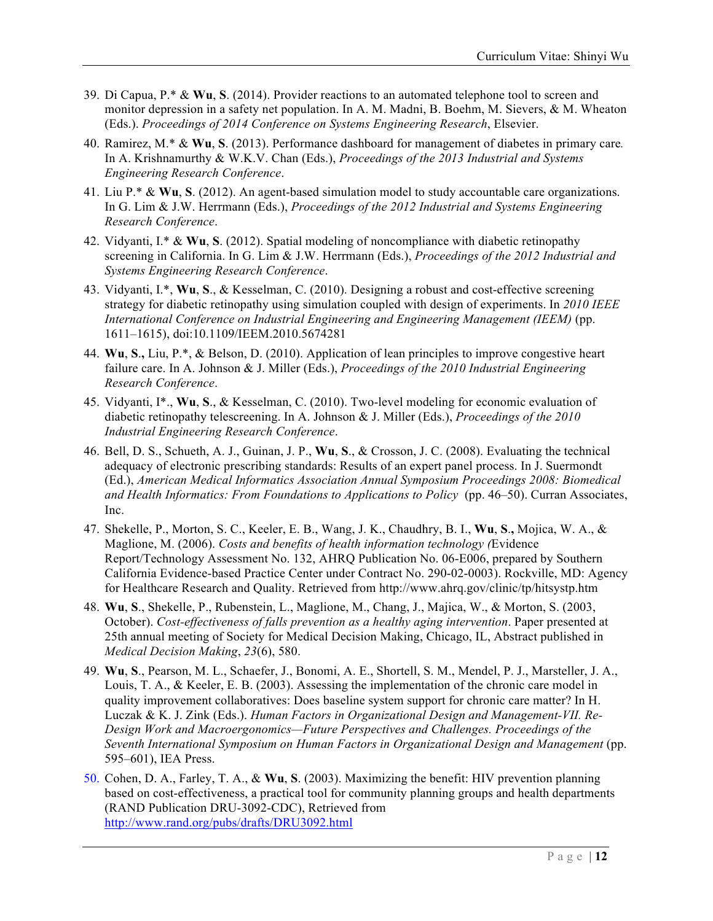- 39. Di Capua, P.\* & **Wu**, **S**. (2014). Provider reactions to an automated telephone tool to screen and monitor depression in a safety net population. In A. M. Madni, B. Boehm, M. Sievers, & M. Wheaton (Eds.). *Proceedings of 2014 Conference on Systems Engineering Research*, Elsevier.
- 40. Ramirez, M.\* & **Wu**, **S**. (2013). Performance dashboard for management of diabetes in primary care*.* In A. Krishnamurthy & W.K.V. Chan (Eds.), *Proceedings of the 2013 Industrial and Systems Engineering Research Conference*.
- 41. Liu P.\* & **Wu**, **S**. (2012). An agent-based simulation model to study accountable care organizations. In G. Lim & J.W. Herrmann (Eds.), *Proceedings of the 2012 Industrial and Systems Engineering Research Conference*.
- 42. Vidyanti, I.\* & **Wu**, **S**. (2012). Spatial modeling of noncompliance with diabetic retinopathy screening in California. In G. Lim & J.W. Herrmann (Eds.), *Proceedings of the 2012 Industrial and Systems Engineering Research Conference*.
- 43. Vidyanti, I.\*, **Wu**, **S**., & Kesselman, C. (2010). Designing a robust and cost-effective screening strategy for diabetic retinopathy using simulation coupled with design of experiments. In *2010 IEEE International Conference on Industrial Engineering and Engineering Management (IEEM)* (pp. 1611–1615), doi:10.1109/IEEM.2010.5674281
- 44. **Wu**, **S**.**,** Liu, P.\*, & Belson, D. (2010). Application of lean principles to improve congestive heart failure care. In A. Johnson & J. Miller (Eds.), *Proceedings of the 2010 Industrial Engineering Research Conference*.
- 45. Vidyanti, I\*., **Wu**, **S**., & Kesselman, C. (2010). Two-level modeling for economic evaluation of diabetic retinopathy telescreening. In A. Johnson & J. Miller (Eds.), *Proceedings of the 2010 Industrial Engineering Research Conference*.
- 46. Bell, D. S., Schueth, A. J., Guinan, J. P., **Wu**, **S**., & Crosson, J. C. (2008). Evaluating the technical adequacy of electronic prescribing standards: Results of an expert panel process. In J. Suermondt (Ed.), *American Medical Informatics Association Annual Symposium Proceedings 2008: Biomedical and Health Informatics: From Foundations to Applications to Policy* (pp. 46–50). Curran Associates, Inc.
- 47. Shekelle, P., Morton, S. C., Keeler, E. B., Wang, J. K., Chaudhry, B. I., **Wu**, **S**.**,** Mojica, W. A., & Maglione, M. (2006). *Costs and benefits of health information technology (*Evidence Report/Technology Assessment No. 132, AHRQ Publication No. 06-E006, prepared by Southern California Evidence-based Practice Center under Contract No. 290-02-0003). Rockville, MD: Agency for Healthcare Research and Quality. Retrieved from http://www.ahrq.gov/clinic/tp/hitsystp.htm
- 48. **Wu**, **S**., Shekelle, P., Rubenstein, L., Maglione, M., Chang, J., Majica, W., & Morton, S. (2003, October). *Cost-effectiveness of falls prevention as a healthy aging intervention*. Paper presented at 25th annual meeting of Society for Medical Decision Making, Chicago, IL, Abstract published in *Medical Decision Making*, *23*(6), 580.
- 49. **Wu**, **S**., Pearson, M. L., Schaefer, J., Bonomi, A. E., Shortell, S. M., Mendel, P. J., Marsteller, J. A., Louis, T. A., & Keeler, E. B. (2003). Assessing the implementation of the chronic care model in quality improvement collaboratives: Does baseline system support for chronic care matter? In H. Luczak & K. J. Zink (Eds.). *Human Factors in Organizational Design and Management-VII. Re-Design Work and Macroergonomics—Future Perspectives and Challenges. Proceedings of the Seventh International Symposium on Human Factors in Organizational Design and Management* (pp. 595–601), IEA Press.
- 50. Cohen, D. A., Farley, T. A., & **Wu**, **S**. (2003). Maximizing the benefit: HIV prevention planning based on cost-effectiveness, a practical tool for community planning groups and health departments (RAND Publication DRU-3092-CDC), Retrieved from http://www.rand.org/pubs/drafts/DRU3092.html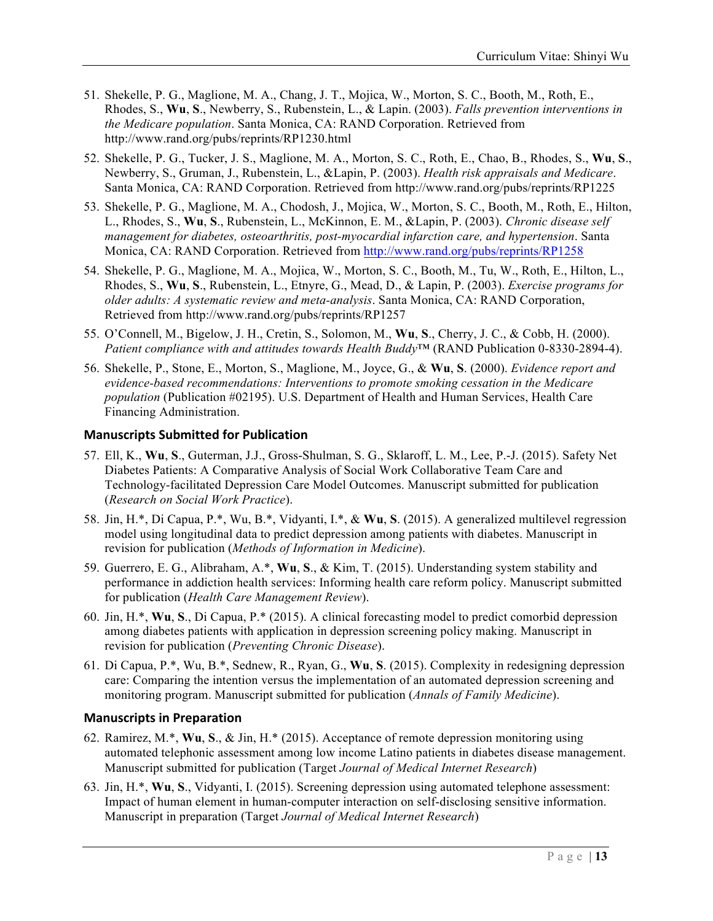- 51. Shekelle, P. G., Maglione, M. A., Chang, J. T., Mojica, W., Morton, S. C., Booth, M., Roth, E., Rhodes, S., **Wu**, **S**., Newberry, S., Rubenstein, L., & Lapin. (2003). *Falls prevention interventions in the Medicare population*. Santa Monica, CA: RAND Corporation. Retrieved from http://www.rand.org/pubs/reprints/RP1230.html
- 52. Shekelle, P. G., Tucker, J. S., Maglione, M. A., Morton, S. C., Roth, E., Chao, B., Rhodes, S., **Wu**, **S**., Newberry, S., Gruman, J., Rubenstein, L., &Lapin, P. (2003). *Health risk appraisals and Medicare*. Santa Monica, CA: RAND Corporation. Retrieved from http://www.rand.org/pubs/reprints/RP1225
- 53. Shekelle, P. G., Maglione, M. A., Chodosh, J., Mojica, W., Morton, S. C., Booth, M., Roth, E., Hilton, L., Rhodes, S., **Wu**, **S**., Rubenstein, L., McKinnon, E. M., &Lapin, P. (2003). *Chronic disease self management for diabetes, osteoarthritis, post-myocardial infarction care, and hypertension*. Santa Monica, CA: RAND Corporation. Retrieved from http://www.rand.org/pubs/reprints/RP1258
- 54. Shekelle, P. G., Maglione, M. A., Mojica, W., Morton, S. C., Booth, M., Tu, W., Roth, E., Hilton, L., Rhodes, S., **Wu**, **S**., Rubenstein, L., Etnyre, G., Mead, D., & Lapin, P. (2003). *Exercise programs for older adults: A systematic review and meta-analysis*. Santa Monica, CA: RAND Corporation, Retrieved from http://www.rand.org/pubs/reprints/RP1257
- 55. O'Connell, M., Bigelow, J. H., Cretin, S., Solomon, M., **Wu**, **S**., Cherry, J. C., & Cobb, H. (2000). *Patient compliance with and attitudes towards Health Buddy*™ (RAND Publication 0-8330-2894-4).
- 56. Shekelle, P., Stone, E., Morton, S., Maglione, M., Joyce, G., & **Wu**, **S**. (2000). *Evidence report and evidence-based recommendations: Interventions to promote smoking cessation in the Medicare population* (Publication #02195). U.S. Department of Health and Human Services, Health Care Financing Administration.

### **Manuscripts Submitted for Publication**

- 57. Ell, K., **Wu**, **S**., Guterman, J.J., Gross-Shulman, S. G., Sklaroff, L. M., Lee, P.-J. (2015). Safety Net Diabetes Patients: A Comparative Analysis of Social Work Collaborative Team Care and Technology-facilitated Depression Care Model Outcomes. Manuscript submitted for publication (*Research on Social Work Practice*).
- 58. Jin, H.\*, Di Capua, P.\*, Wu, B.\*, Vidyanti, I.\*, & **Wu**, **S**. (2015). A generalized multilevel regression model using longitudinal data to predict depression among patients with diabetes. Manuscript in revision for publication (*Methods of Information in Medicine*).
- 59. Guerrero, E. G., Alibraham, A.\*, **Wu**, **S**., & Kim, T. (2015). Understanding system stability and performance in addiction health services: Informing health care reform policy. Manuscript submitted for publication (*Health Care Management Review*).
- 60. Jin, H.\*, **Wu**, **S**., Di Capua, P.\* (2015). A clinical forecasting model to predict comorbid depression among diabetes patients with application in depression screening policy making. Manuscript in revision for publication (*Preventing Chronic Disease*).
- 61. Di Capua, P.\*, Wu, B.\*, Sednew, R., Ryan, G., **Wu**, **S**. (2015). Complexity in redesigning depression care: Comparing the intention versus the implementation of an automated depression screening and monitoring program. Manuscript submitted for publication (*Annals of Family Medicine*).

### **Manuscripts in Preparation**

- 62. Ramirez, M.\*, **Wu**, **S**., & Jin, H.\* (2015). Acceptance of remote depression monitoring using automated telephonic assessment among low income Latino patients in diabetes disease management. Manuscript submitted for publication (Target *Journal of Medical Internet Research*)
- 63. Jin, H.\*, **Wu**, **S**., Vidyanti, I. (2015). Screening depression using automated telephone assessment: Impact of human element in human-computer interaction on self-disclosing sensitive information. Manuscript in preparation (Target *Journal of Medical Internet Research*)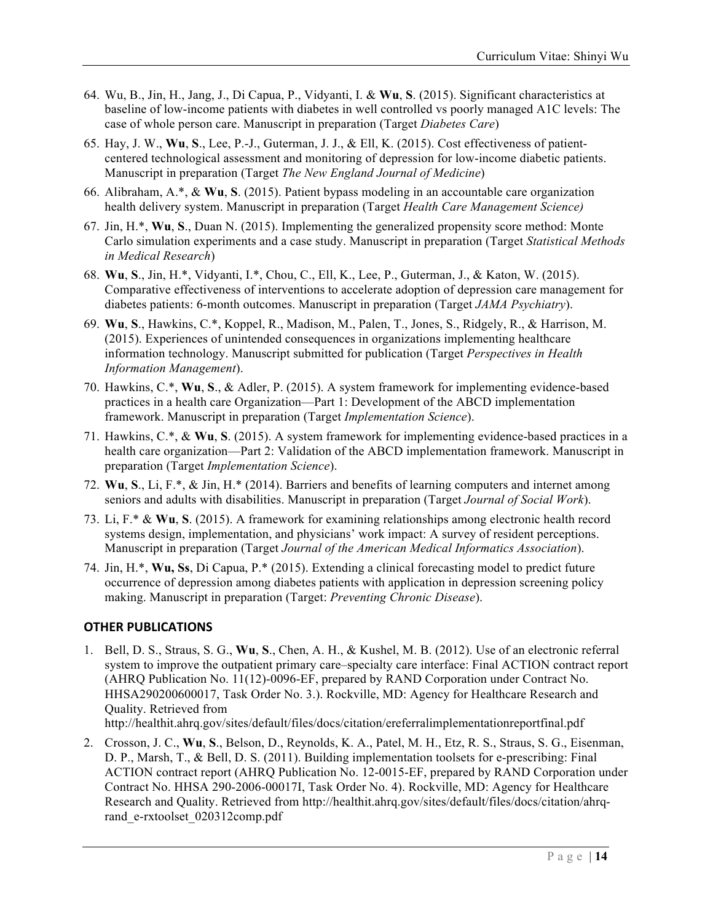- 64. Wu, B., Jin, H., Jang, J., Di Capua, P., Vidyanti, I. & **Wu**, **S**. (2015). Significant characteristics at baseline of low-income patients with diabetes in well controlled vs poorly managed A1C levels: The case of whole person care. Manuscript in preparation (Target *Diabetes Care*)
- 65. Hay, J. W., **Wu**, **S**., Lee, P.-J., Guterman, J. J., & Ell, K. (2015). Cost effectiveness of patientcentered technological assessment and monitoring of depression for low-income diabetic patients. Manuscript in preparation (Target *The New England Journal of Medicine*)
- 66. Alibraham, A.\*, & **Wu**, **S**. (2015). Patient bypass modeling in an accountable care organization health delivery system. Manuscript in preparation (Target *Health Care Management Science)*
- 67. Jin, H.\*, **Wu**, **S**., Duan N. (2015). Implementing the generalized propensity score method: Monte Carlo simulation experiments and a case study. Manuscript in preparation (Target *Statistical Methods in Medical Research*)
- 68. **Wu**, **S**., Jin, H.\*, Vidyanti, I.\*, Chou, C., Ell, K., Lee, P., Guterman, J., & Katon, W. (2015). Comparative effectiveness of interventions to accelerate adoption of depression care management for diabetes patients: 6-month outcomes. Manuscript in preparation (Target *JAMA Psychiatry*).
- 69. **Wu**, **S**., Hawkins, C.\*, Koppel, R., Madison, M., Palen, T., Jones, S., Ridgely, R., & Harrison, M. (2015). Experiences of unintended consequences in organizations implementing healthcare information technology. Manuscript submitted for publication (Target *Perspectives in Health Information Management*).
- 70. Hawkins, C.\*, **Wu**, **S**., & Adler, P. (2015). A system framework for implementing evidence-based practices in a health care Organization—Part 1: Development of the ABCD implementation framework. Manuscript in preparation (Target *Implementation Science*).
- 71. Hawkins, C.\*, & **Wu**, **S**. (2015). A system framework for implementing evidence-based practices in a health care organization—Part 2: Validation of the ABCD implementation framework. Manuscript in preparation (Target *Implementation Science*).
- 72. **Wu**, **S**., Li, F.\*, & Jin, H.\* (2014). Barriers and benefits of learning computers and internet among seniors and adults with disabilities. Manuscript in preparation (Target *Journal of Social Work*).
- 73. Li, F.\* & **Wu**, **S**. (2015). A framework for examining relationships among electronic health record systems design, implementation, and physicians' work impact: A survey of resident perceptions. Manuscript in preparation (Target *Journal of the American Medical Informatics Association*).
- 74. Jin, H.\*, **Wu, Ss**, Di Capua, P.\* (2015). Extending a clinical forecasting model to predict future occurrence of depression among diabetes patients with application in depression screening policy making. Manuscript in preparation (Target: *Preventing Chronic Disease*).

### **OTHER PUBLICATIONS**

1. Bell, D. S., Straus, S. G., **Wu**, **S**., Chen, A. H., & Kushel, M. B. (2012). Use of an electronic referral system to improve the outpatient primary care–specialty care interface: Final ACTION contract report (AHRQ Publication No. 11(12)-0096-EF, prepared by RAND Corporation under Contract No. HHSA290200600017, Task Order No. 3.). Rockville, MD: Agency for Healthcare Research and Quality. Retrieved from

http://healthit.ahrq.gov/sites/default/files/docs/citation/ereferralimplementationreportfinal.pdf

2. Crosson, J. C., **Wu**, **S**., Belson, D., Reynolds, K. A., Patel, M. H., Etz, R. S., Straus, S. G., Eisenman, D. P., Marsh, T., & Bell, D. S. (2011). Building implementation toolsets for e-prescribing: Final ACTION contract report (AHRQ Publication No. 12-0015-EF, prepared by RAND Corporation under Contract No. HHSA 290-2006-00017I, Task Order No. 4). Rockville, MD: Agency for Healthcare Research and Quality. Retrieved from http://healthit.ahrq.gov/sites/default/files/docs/citation/ahrqrand\_e-rxtoolset\_020312comp.pdf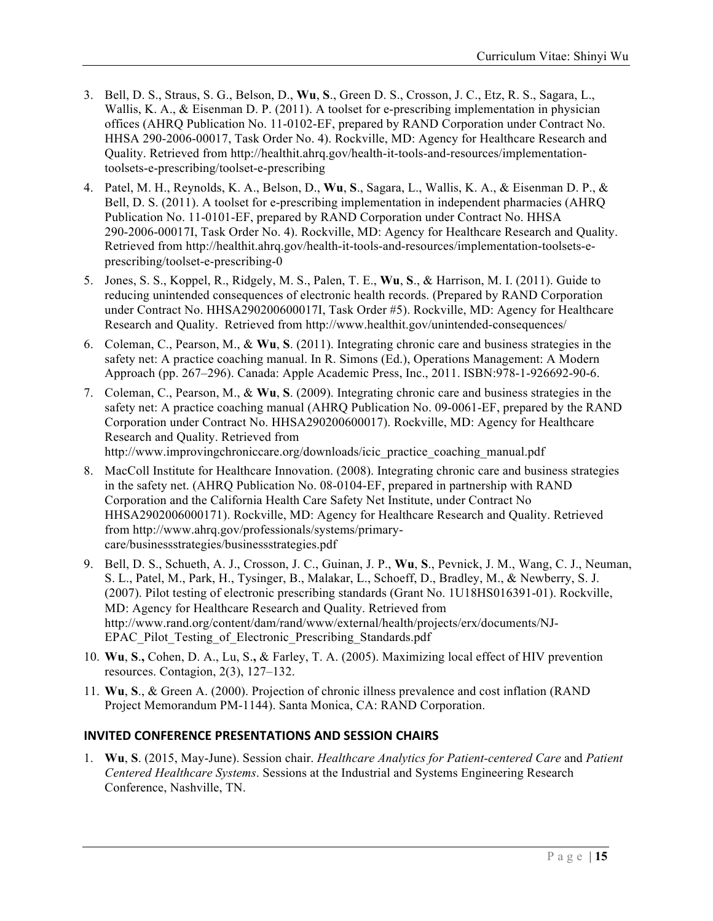- 3. Bell, D. S., Straus, S. G., Belson, D., **Wu**, **S**., Green D. S., Crosson, J. C., Etz, R. S., Sagara, L., Wallis, K. A., & Eisenman D. P. (2011). A toolset for e-prescribing implementation in physician offices (AHRQ Publication No. 11-0102-EF, prepared by RAND Corporation under Contract No. HHSA 290-2006-00017, Task Order No. 4). Rockville, MD: Agency for Healthcare Research and Quality. Retrieved from http://healthit.ahrq.gov/health-it-tools-and-resources/implementationtoolsets-e-prescribing/toolset-e-prescribing
- 4. Patel, M. H., Reynolds, K. A., Belson, D., **Wu**, **S**., Sagara, L., Wallis, K. A., & Eisenman D. P., & Bell, D. S. (2011). A toolset for e-prescribing implementation in independent pharmacies (AHRQ Publication No. 11-0101-EF, prepared by RAND Corporation under Contract No. HHSA 290-2006-00017I, Task Order No. 4). Rockville, MD: Agency for Healthcare Research and Quality. Retrieved from http://healthit.ahrq.gov/health-it-tools-and-resources/implementation-toolsets-eprescribing/toolset-e-prescribing-0
- 5. Jones, S. S., Koppel, R., Ridgely, M. S., Palen, T. E., **Wu**, **S**., & Harrison, M. I. (2011). Guide to reducing unintended consequences of electronic health records. (Prepared by RAND Corporation under Contract No. HHSA290200600017I, Task Order #5). Rockville, MD: Agency for Healthcare Research and Quality. Retrieved from http://www.healthit.gov/unintended-consequences/
- 6. Coleman, C., Pearson, M., & **Wu**, **S**. (2011). Integrating chronic care and business strategies in the safety net: A practice coaching manual. In R. Simons (Ed.), Operations Management: A Modern Approach (pp. 267–296). Canada: Apple Academic Press, Inc., 2011. ISBN:978-1-926692-90-6.
- 7. Coleman, C., Pearson, M., & **Wu**, **S**. (2009). Integrating chronic care and business strategies in the safety net: A practice coaching manual (AHRQ Publication No. 09-0061-EF, prepared by the RAND Corporation under Contract No. HHSA290200600017). Rockville, MD: Agency for Healthcare Research and Quality. Retrieved from http://www.improvingchroniccare.org/downloads/icic\_practice\_coaching\_manual.pdf
- 8. MacColl Institute for Healthcare Innovation. (2008). Integrating chronic care and business strategies in the safety net. (AHRQ Publication No. 08-0104-EF, prepared in partnership with RAND Corporation and the California Health Care Safety Net Institute, under Contract No HHSA2902006000171). Rockville, MD: Agency for Healthcare Research and Quality. Retrieved from http://www.ahrq.gov/professionals/systems/primarycare/businessstrategies/businessstrategies.pdf
- 9. Bell, D. S., Schueth, A. J., Crosson, J. C., Guinan, J. P., **Wu**, **S**., Pevnick, J. M., Wang, C. J., Neuman, S. L., Patel, M., Park, H., Tysinger, B., Malakar, L., Schoeff, D., Bradley, M., & Newberry, S. J. (2007). Pilot testing of electronic prescribing standards (Grant No. 1U18HS016391-01). Rockville, MD: Agency for Healthcare Research and Quality. Retrieved from http://www.rand.org/content/dam/rand/www/external/health/projects/erx/documents/NJ-EPAC\_Pilot\_Testing\_of\_Electronic\_Prescribing\_Standards.pdf
- 10. **Wu**, **S**.**,** Cohen, D. A., Lu, S.**,** & Farley, T. A. (2005). Maximizing local effect of HIV prevention resources. Contagion, 2(3), 127–132.
- 11. **Wu**, **S**., & Green A. (2000). Projection of chronic illness prevalence and cost inflation (RAND Project Memorandum PM-1144). Santa Monica, CA: RAND Corporation.

# **INVITED CONFERENCE PRESENTATIONS AND SESSION CHAIRS**

1. **Wu**, **S**. (2015, May-June). Session chair. *Healthcare Analytics for Patient-centered Care* and *Patient Centered Healthcare Systems*. Sessions at the Industrial and Systems Engineering Research Conference, Nashville, TN.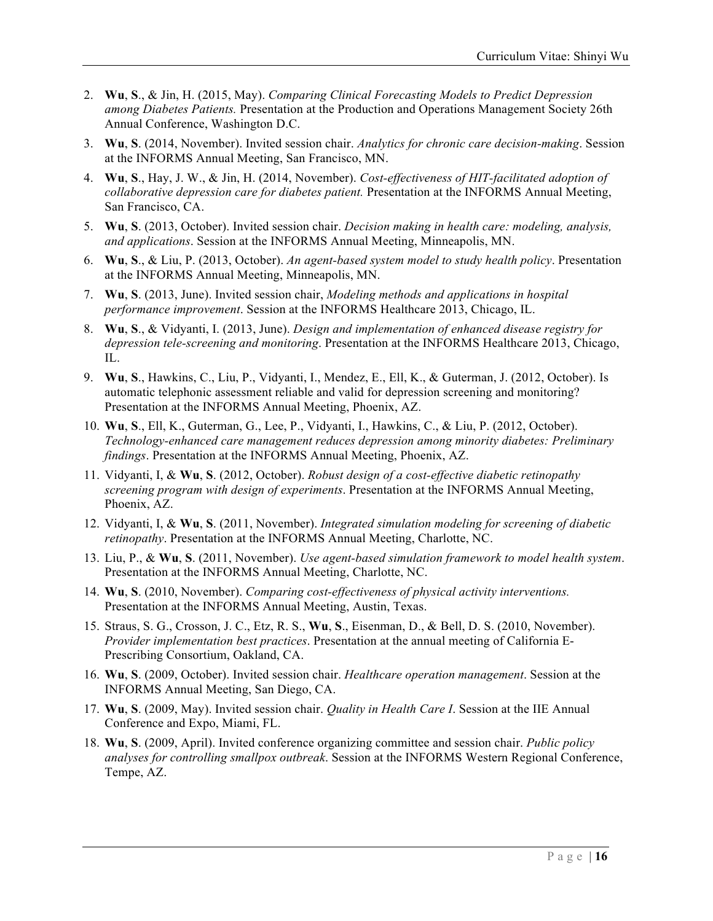- 2. **Wu**, **S**., & Jin, H. (2015, May). *Comparing Clinical Forecasting Models to Predict Depression among Diabetes Patients.* Presentation at the Production and Operations Management Society 26th Annual Conference, Washington D.C.
- 3. **Wu**, **S**. (2014, November). Invited session chair. *Analytics for chronic care decision-making*. Session at the INFORMS Annual Meeting, San Francisco, MN.
- 4. **Wu**, **S**., Hay, J. W., & Jin, H. (2014, November). *Cost-effectiveness of HIT-facilitated adoption of collaborative depression care for diabetes patient.* Presentation at the INFORMS Annual Meeting, San Francisco, CA.
- 5. **Wu**, **S**. (2013, October). Invited session chair. *Decision making in health care: modeling, analysis, and applications*. Session at the INFORMS Annual Meeting, Minneapolis, MN.
- 6. **Wu**, **S**., & Liu, P. (2013, October). *An agent-based system model to study health policy*. Presentation at the INFORMS Annual Meeting, Minneapolis, MN.
- 7. **Wu**, **S**. (2013, June). Invited session chair, *Modeling methods and applications in hospital performance improvement*. Session at the INFORMS Healthcare 2013, Chicago, IL.
- 8. **Wu**, **S**., & Vidyanti, I. (2013, June). *Design and implementation of enhanced disease registry for depression tele-screening and monitoring*. Presentation at the INFORMS Healthcare 2013, Chicago, IL.
- 9. **Wu**, **S**., Hawkins, C., Liu, P., Vidyanti, I., Mendez, E., Ell, K., & Guterman, J. (2012, October). Is automatic telephonic assessment reliable and valid for depression screening and monitoring? Presentation at the INFORMS Annual Meeting, Phoenix, AZ.
- 10. **Wu**, **S**., Ell, K., Guterman, G., Lee, P., Vidyanti, I., Hawkins, C., & Liu, P. (2012, October). *Technology-enhanced care management reduces depression among minority diabetes: Preliminary findings*. Presentation at the INFORMS Annual Meeting, Phoenix, AZ.
- 11. Vidyanti, I, & **Wu**, **S**. (2012, October). *Robust design of a cost-effective diabetic retinopathy screening program with design of experiments*. Presentation at the INFORMS Annual Meeting, Phoenix, AZ.
- 12. Vidyanti, I, & **Wu**, **S**. (2011, November). *Integrated simulation modeling for screening of diabetic retinopathy*. Presentation at the INFORMS Annual Meeting, Charlotte, NC.
- 13. Liu, P., & **Wu**, **S**. (2011, November). *Use agent-based simulation framework to model health system*. Presentation at the INFORMS Annual Meeting, Charlotte, NC.
- 14. **Wu**, **S**. (2010, November). *Comparing cost-effectiveness of physical activity interventions.* Presentation at the INFORMS Annual Meeting, Austin, Texas.
- 15. Straus, S. G., Crosson, J. C., Etz, R. S., **Wu**, **S**., Eisenman, D., & Bell, D. S. (2010, November). *Provider implementation best practices*. Presentation at the annual meeting of California E-Prescribing Consortium, Oakland, CA.
- 16. **Wu**, **S**. (2009, October). Invited session chair. *Healthcare operation management*. Session at the INFORMS Annual Meeting, San Diego, CA.
- 17. **Wu**, **S**. (2009, May). Invited session chair. *Quality in Health Care I*. Session at the IIE Annual Conference and Expo, Miami, FL.
- 18. **Wu**, **S**. (2009, April). Invited conference organizing committee and session chair. *Public policy analyses for controlling smallpox outbreak*. Session at the INFORMS Western Regional Conference, Tempe, AZ.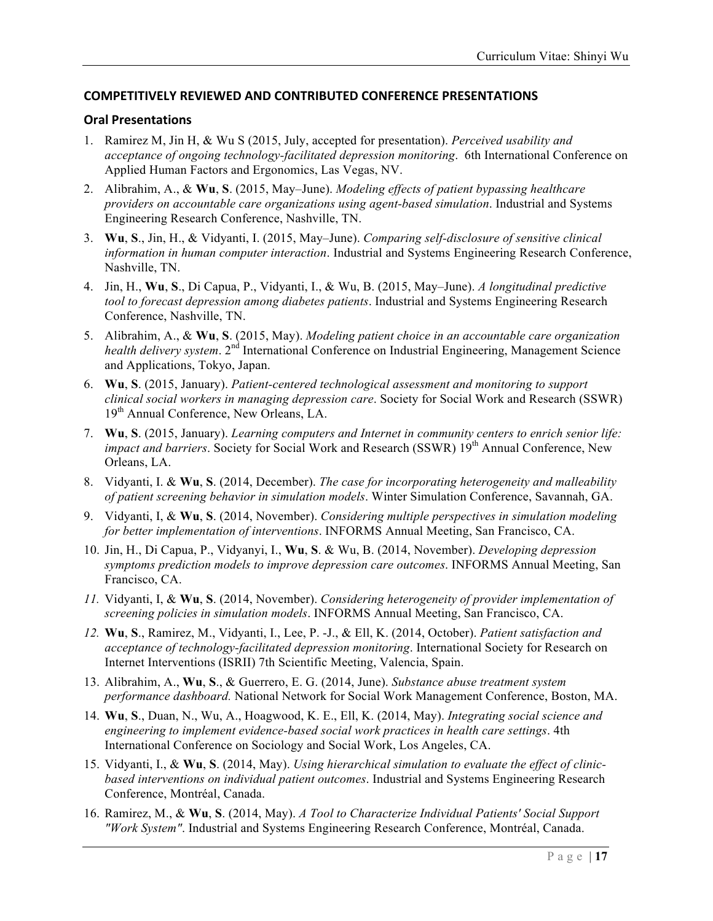### **COMPETITIVELY REVIEWED AND CONTRIBUTED CONFERENCE PRESENTATIONS**

#### **Oral Presentations**

- 1. Ramirez M, Jin H, & Wu S (2015, July, accepted for presentation). *Perceived usability and acceptance of ongoing technology-facilitated depression monitoring*. 6th International Conference on Applied Human Factors and Ergonomics, Las Vegas, NV.
- 2. Alibrahim, A., & **Wu**, **S**. (2015, May–June). *Modeling effects of patient bypassing healthcare providers on accountable care organizations using agent-based simulation*. Industrial and Systems Engineering Research Conference, Nashville, TN.
- 3. **Wu**, **S**., Jin, H., & Vidyanti, I. (2015, May–June). *Comparing self-disclosure of sensitive clinical information in human computer interaction*. Industrial and Systems Engineering Research Conference, Nashville, TN.
- 4. Jin, H., **Wu**, **S**., Di Capua, P., Vidyanti, I., & Wu, B. (2015, May–June). *A longitudinal predictive tool to forecast depression among diabetes patients*. Industrial and Systems Engineering Research Conference, Nashville, TN.
- 5. Alibrahim, A., & **Wu**, **S**. (2015, May). *Modeling patient choice in an accountable care organization health delivery system.* 2<sup>nd</sup> International Conference on Industrial Engineering, Management Science and Applications, Tokyo, Japan.
- 6. **Wu**, **S**. (2015, January). *Patient-centered technological assessment and monitoring to support clinical social workers in managing depression care*. Society for Social Work and Research (SSWR) 19<sup>th</sup> Annual Conference, New Orleans, LA.
- 7. **Wu**, **S**. (2015, January). *Learning computers and Internet in community centers to enrich senior life: impact and barriers*. Society for Social Work and Research (SSWR) 19<sup>th</sup> Annual Conference, New Orleans, LA.
- 8. Vidyanti, I. & **Wu**, **S**. (2014, December). *The case for incorporating heterogeneity and malleability of patient screening behavior in simulation models*. Winter Simulation Conference, Savannah, GA.
- 9. Vidyanti, I, & **Wu**, **S**. (2014, November). *Considering multiple perspectives in simulation modeling for better implementation of interventions*. INFORMS Annual Meeting, San Francisco, CA.
- 10. Jin, H., Di Capua, P., Vidyanyi, I., **Wu**, **S**. & Wu, B. (2014, November). *Developing depression symptoms prediction models to improve depression care outcomes*. INFORMS Annual Meeting, San Francisco, CA.
- *11.* Vidyanti, I, & **Wu**, **S**. (2014, November). *Considering heterogeneity of provider implementation of screening policies in simulation models*. INFORMS Annual Meeting, San Francisco, CA.
- *12.* **Wu**, **S**., Ramirez, M., Vidyanti, I., Lee, P. -J., & Ell, K. (2014, October). *Patient satisfaction and acceptance of technology-facilitated depression monitoring*. International Society for Research on Internet Interventions (ISRII) 7th Scientific Meeting, Valencia, Spain.
- 13. Alibrahim, A., **Wu**, **S**., & Guerrero, E. G. (2014, June). *Substance abuse treatment system performance dashboard.* National Network for Social Work Management Conference, Boston, MA.
- 14. **Wu**, **S**., Duan, N., Wu, A., Hoagwood, K. E., Ell, K. (2014, May). *Integrating social science and engineering to implement evidence-based social work practices in health care settings*. 4th International Conference on Sociology and Social Work, Los Angeles, CA.
- 15. Vidyanti, I., & **Wu**, **S**. (2014, May). *Using hierarchical simulation to evaluate the effect of clinicbased interventions on individual patient outcomes*. Industrial and Systems Engineering Research Conference, Montréal, Canada.
- 16. Ramirez, M., & **Wu**, **S**. (2014, May). *A Tool to Characterize Individual Patients' Social Support "Work System"*. Industrial and Systems Engineering Research Conference, Montréal, Canada.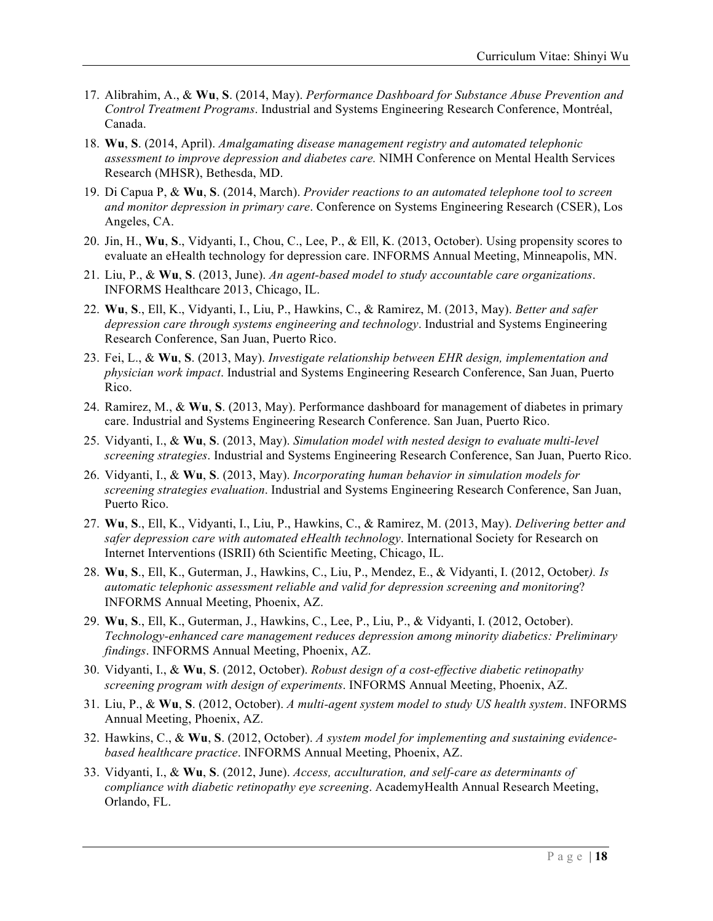- 17. Alibrahim, A., & **Wu**, **S**. (2014, May). *Performance Dashboard for Substance Abuse Prevention and Control Treatment Programs*. Industrial and Systems Engineering Research Conference, Montréal, Canada.
- 18. **Wu**, **S**. (2014, April). *Amalgamating disease management registry and automated telephonic assessment to improve depression and diabetes care.* NIMH Conference on Mental Health Services Research (MHSR), Bethesda, MD.
- 19. Di Capua P, & **Wu**, **S**. (2014, March). *Provider reactions to an automated telephone tool to screen and monitor depression in primary care*. Conference on Systems Engineering Research (CSER), Los Angeles, CA.
- 20. Jin, H., **Wu**, **S**., Vidyanti, I., Chou, C., Lee, P., & Ell, K. (2013, October). Using propensity scores to evaluate an eHealth technology for depression care. INFORMS Annual Meeting, Minneapolis, MN.
- 21. Liu, P., & **Wu**, **S**. (2013, June). *An agent-based model to study accountable care organizations*. INFORMS Healthcare 2013, Chicago, IL.
- 22. **Wu**, **S**., Ell, K., Vidyanti, I., Liu, P., Hawkins, C., & Ramirez, M. (2013, May). *Better and safer depression care through systems engineering and technology*. Industrial and Systems Engineering Research Conference, San Juan, Puerto Rico.
- 23. Fei, L., & **Wu**, **S**. (2013, May). *Investigate relationship between EHR design, implementation and physician work impact*. Industrial and Systems Engineering Research Conference, San Juan, Puerto Rico.
- 24. Ramirez, M., & **Wu**, **S**. (2013, May). Performance dashboard for management of diabetes in primary care. Industrial and Systems Engineering Research Conference. San Juan, Puerto Rico.
- 25. Vidyanti, I., & **Wu**, **S**. (2013, May). *Simulation model with nested design to evaluate multi-level screening strategies*. Industrial and Systems Engineering Research Conference, San Juan, Puerto Rico.
- 26. Vidyanti, I., & **Wu**, **S**. (2013, May). *Incorporating human behavior in simulation models for screening strategies evaluation*. Industrial and Systems Engineering Research Conference, San Juan, Puerto Rico.
- 27. **Wu**, **S**., Ell, K., Vidyanti, I., Liu, P., Hawkins, C., & Ramirez, M. (2013, May). *Delivering better and safer depression care with automated eHealth technology*. International Society for Research on Internet Interventions (ISRII) 6th Scientific Meeting, Chicago, IL.
- 28. **Wu**, **S**., Ell, K., Guterman, J., Hawkins, C., Liu, P., Mendez, E., & Vidyanti, I. (2012, October*). Is automatic telephonic assessment reliable and valid for depression screening and monitoring*? INFORMS Annual Meeting, Phoenix, AZ.
- 29. **Wu**, **S**., Ell, K., Guterman, J., Hawkins, C., Lee, P., Liu, P., & Vidyanti, I. (2012, October). *Technology-enhanced care management reduces depression among minority diabetics: Preliminary findings*. INFORMS Annual Meeting, Phoenix, AZ.
- 30. Vidyanti, I., & **Wu**, **S**. (2012, October). *Robust design of a cost-effective diabetic retinopathy screening program with design of experiments*. INFORMS Annual Meeting, Phoenix, AZ.
- 31. Liu, P., & **Wu**, **S**. (2012, October). *A multi-agent system model to study US health system*. INFORMS Annual Meeting, Phoenix, AZ.
- 32. Hawkins, C., & **Wu**, **S**. (2012, October). *A system model for implementing and sustaining evidencebased healthcare practice*. INFORMS Annual Meeting, Phoenix, AZ.
- 33. Vidyanti, I., & **Wu**, **S**. (2012, June). *Access, acculturation, and self-care as determinants of compliance with diabetic retinopathy eye screening*. AcademyHealth Annual Research Meeting, Orlando, FL.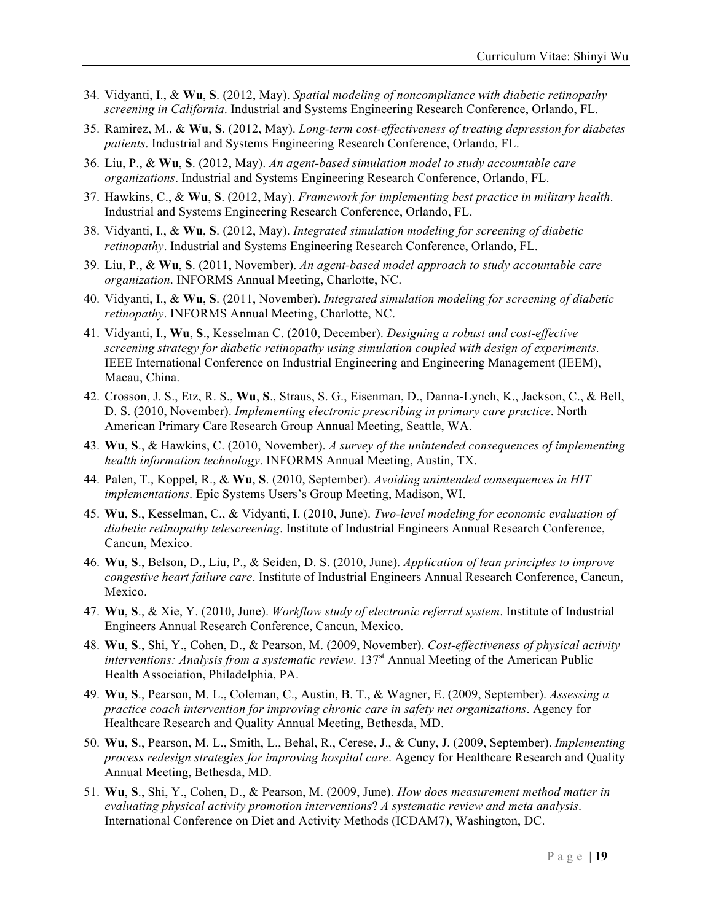- 34. Vidyanti, I., & **Wu**, **S**. (2012, May). *Spatial modeling of noncompliance with diabetic retinopathy screening in California*. Industrial and Systems Engineering Research Conference, Orlando, FL.
- 35. Ramirez, M., & **Wu**, **S**. (2012, May). *Long-term cost-effectiveness of treating depression for diabetes patients*. Industrial and Systems Engineering Research Conference, Orlando, FL.
- 36. Liu, P., & **Wu**, **S**. (2012, May). *An agent-based simulation model to study accountable care organizations*. Industrial and Systems Engineering Research Conference, Orlando, FL.
- 37. Hawkins, C., & **Wu**, **S**. (2012, May). *Framework for implementing best practice in military health*. Industrial and Systems Engineering Research Conference, Orlando, FL.
- 38. Vidyanti, I., & **Wu**, **S**. (2012, May). *Integrated simulation modeling for screening of diabetic retinopathy*. Industrial and Systems Engineering Research Conference, Orlando, FL.
- 39. Liu, P., & **Wu**, **S**. (2011, November). *An agent-based model approach to study accountable care organization*. INFORMS Annual Meeting, Charlotte, NC.
- 40. Vidyanti, I., & **Wu**, **S**. (2011, November). *Integrated simulation modeling for screening of diabetic retinopathy*. INFORMS Annual Meeting, Charlotte, NC.
- 41. Vidyanti, I., **Wu**, **S**., Kesselman C. (2010, December). *Designing a robust and cost-effective screening strategy for diabetic retinopathy using simulation coupled with design of experiments*. IEEE International Conference on Industrial Engineering and Engineering Management (IEEM), Macau, China.
- 42. Crosson, J. S., Etz, R. S., **Wu**, **S**., Straus, S. G., Eisenman, D., Danna-Lynch, K., Jackson, C., & Bell, D. S. (2010, November). *Implementing electronic prescribing in primary care practice*. North American Primary Care Research Group Annual Meeting, Seattle, WA.
- 43. **Wu**, **S**., & Hawkins, C. (2010, November). *A survey of the unintended consequences of implementing health information technology*. INFORMS Annual Meeting, Austin, TX.
- 44. Palen, T., Koppel, R., & **Wu**, **S**. (2010, September). *Avoiding unintended consequences in HIT implementations*. Epic Systems Users's Group Meeting, Madison, WI.
- 45. **Wu**, **S**., Kesselman, C., & Vidyanti, I. (2010, June). *Two-level modeling for economic evaluation of diabetic retinopathy telescreening*. Institute of Industrial Engineers Annual Research Conference, Cancun, Mexico.
- 46. **Wu**, **S**., Belson, D., Liu, P., & Seiden, D. S. (2010, June). *Application of lean principles to improve congestive heart failure care*. Institute of Industrial Engineers Annual Research Conference, Cancun, Mexico.
- 47. **Wu**, **S**., & Xie, Y. (2010, June). *Workflow study of electronic referral system*. Institute of Industrial Engineers Annual Research Conference, Cancun, Mexico.
- 48. **Wu**, **S**., Shi, Y., Cohen, D., & Pearson, M. (2009, November). *Cost-effectiveness of physical activity interventions: Analysis from a systematic review.* 137<sup>st</sup> Annual Meeting of the American Public Health Association, Philadelphia, PA.
- 49. **Wu**, **S**., Pearson, M. L., Coleman, C., Austin, B. T., & Wagner, E. (2009, September). *Assessing a practice coach intervention for improving chronic care in safety net organizations*. Agency for Healthcare Research and Quality Annual Meeting, Bethesda, MD.
- 50. **Wu**, **S**., Pearson, M. L., Smith, L., Behal, R., Cerese, J., & Cuny, J. (2009, September). *Implementing process redesign strategies for improving hospital care*. Agency for Healthcare Research and Quality Annual Meeting, Bethesda, MD.
- 51. **Wu**, **S**., Shi, Y., Cohen, D., & Pearson, M. (2009, June). *How does measurement method matter in evaluating physical activity promotion interventions*? *A systematic review and meta analysis*. International Conference on Diet and Activity Methods (ICDAM7), Washington, DC.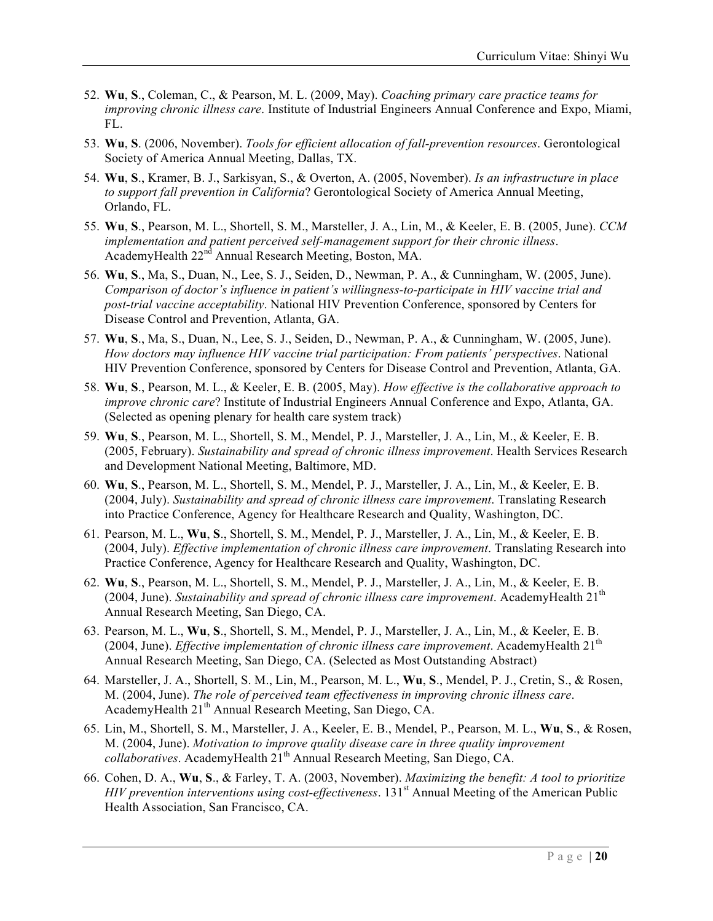- 52. **Wu**, **S**., Coleman, C., & Pearson, M. L. (2009, May). *Coaching primary care practice teams for improving chronic illness care*. Institute of Industrial Engineers Annual Conference and Expo, Miami, FL.
- 53. **Wu**, **S**. (2006, November). *Tools for efficient allocation of fall-prevention resources*. Gerontological Society of America Annual Meeting, Dallas, TX.
- 54. **Wu**, **S**., Kramer, B. J., Sarkisyan, S., & Overton, A. (2005, November). *Is an infrastructure in place to support fall prevention in California*? Gerontological Society of America Annual Meeting, Orlando, FL.
- 55. **Wu**, **S**., Pearson, M. L., Shortell, S. M., Marsteller, J. A., Lin, M., & Keeler, E. B. (2005, June). *CCM implementation and patient perceived self-management support for their chronic illness*. AcademyHealth 22nd Annual Research Meeting, Boston, MA.
- 56. **Wu**, **S**., Ma, S., Duan, N., Lee, S. J., Seiden, D., Newman, P. A., & Cunningham, W. (2005, June). *Comparison of doctor's influence in patient's willingness-to-participate in HIV vaccine trial and post-trial vaccine acceptability*. National HIV Prevention Conference, sponsored by Centers for Disease Control and Prevention, Atlanta, GA.
- 57. **Wu**, **S**., Ma, S., Duan, N., Lee, S. J., Seiden, D., Newman, P. A., & Cunningham, W. (2005, June). *How doctors may influence HIV vaccine trial participation: From patients' perspectives*. National HIV Prevention Conference, sponsored by Centers for Disease Control and Prevention, Atlanta, GA.
- 58. **Wu**, **S**., Pearson, M. L., & Keeler, E. B. (2005, May). *How effective is the collaborative approach to improve chronic care*? Institute of Industrial Engineers Annual Conference and Expo, Atlanta, GA. (Selected as opening plenary for health care system track)
- 59. **Wu**, **S**., Pearson, M. L., Shortell, S. M., Mendel, P. J., Marsteller, J. A., Lin, M., & Keeler, E. B. (2005, February). *Sustainability and spread of chronic illness improvement*. Health Services Research and Development National Meeting, Baltimore, MD.
- 60. **Wu**, **S**., Pearson, M. L., Shortell, S. M., Mendel, P. J., Marsteller, J. A., Lin, M., & Keeler, E. B. (2004, July). *Sustainability and spread of chronic illness care improvement*. Translating Research into Practice Conference, Agency for Healthcare Research and Quality, Washington, DC.
- 61. Pearson, M. L., **Wu**, **S**., Shortell, S. M., Mendel, P. J., Marsteller, J. A., Lin, M., & Keeler, E. B. (2004, July). *Effective implementation of chronic illness care improvement*. Translating Research into Practice Conference, Agency for Healthcare Research and Quality, Washington, DC.
- 62. **Wu**, **S**., Pearson, M. L., Shortell, S. M., Mendel, P. J., Marsteller, J. A., Lin, M., & Keeler, E. B. (2004, June). *Sustainability and spread of chronic illness care improvement*. AcademyHealth  $21<sup>th</sup>$ Annual Research Meeting, San Diego, CA.
- 63. Pearson, M. L., **Wu**, **S**., Shortell, S. M., Mendel, P. J., Marsteller, J. A., Lin, M., & Keeler, E. B. (2004, June). *Effective implementation of chronic illness care improvement*. AcademyHealth  $21<sup>th</sup>$ Annual Research Meeting, San Diego, CA. (Selected as Most Outstanding Abstract)
- 64. Marsteller, J. A., Shortell, S. M., Lin, M., Pearson, M. L., **Wu**, **S**., Mendel, P. J., Cretin, S., & Rosen, M. (2004, June). *The role of perceived team effectiveness in improving chronic illness care*. AcademyHealth 21<sup>th</sup> Annual Research Meeting, San Diego, CA.
- 65. Lin, M., Shortell, S. M., Marsteller, J. A., Keeler, E. B., Mendel, P., Pearson, M. L., **Wu**, **S**., & Rosen, M. (2004, June). *Motivation to improve quality disease care in three quality improvement collaboratives*. AcademyHealth 21<sup>th</sup> Annual Research Meeting, San Diego, CA.
- 66. Cohen, D. A., **Wu**, **S**., & Farley, T. A. (2003, November). *Maximizing the benefit: A tool to prioritize HIV prevention interventions using cost-effectiveness.* 131<sup>st</sup> Annual Meeting of the American Public Health Association, San Francisco, CA.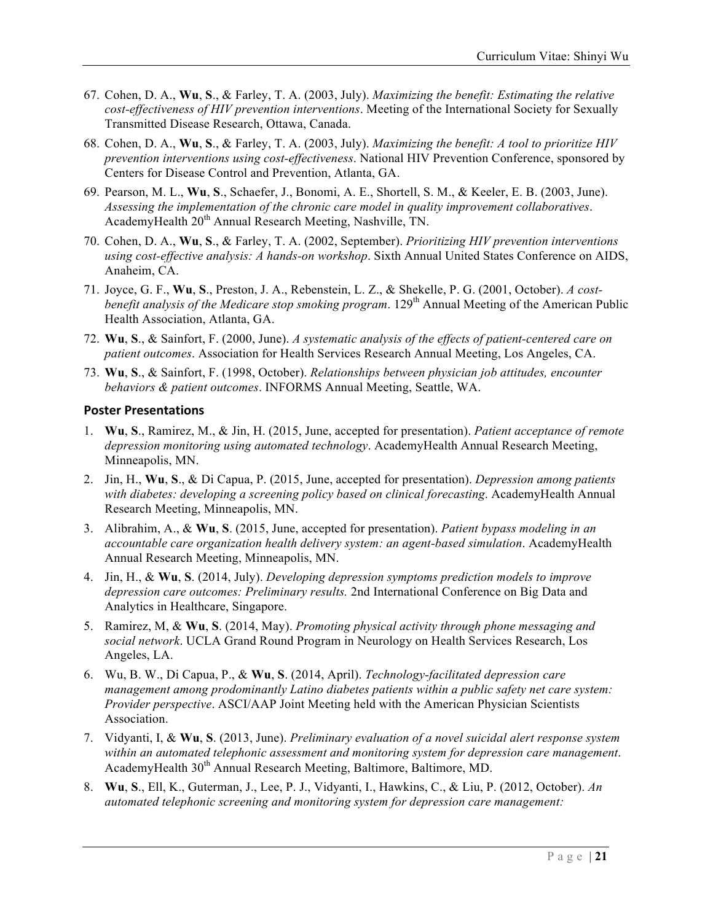- 67. Cohen, D. A., **Wu**, **S**., & Farley, T. A. (2003, July). *Maximizing the benefit: Estimating the relative cost-effectiveness of HIV prevention interventions*. Meeting of the International Society for Sexually Transmitted Disease Research, Ottawa, Canada.
- 68. Cohen, D. A., **Wu**, **S**., & Farley, T. A. (2003, July). *Maximizing the benefit: A tool to prioritize HIV prevention interventions using cost-effectiveness*. National HIV Prevention Conference, sponsored by Centers for Disease Control and Prevention, Atlanta, GA.
- 69. Pearson, M. L., **Wu**, **S**., Schaefer, J., Bonomi, A. E., Shortell, S. M., & Keeler, E. B. (2003, June). *Assessing the implementation of the chronic care model in quality improvement collaboratives*. AcademyHealth 20<sup>th</sup> Annual Research Meeting, Nashville, TN.
- 70. Cohen, D. A., **Wu**, **S**., & Farley, T. A. (2002, September). *Prioritizing HIV prevention interventions using cost-effective analysis: A hands-on workshop*. Sixth Annual United States Conference on AIDS, Anaheim, CA.
- 71. Joyce, G. F., **Wu**, **S**., Preston, J. A., Rebenstein, L. Z., & Shekelle, P. G. (2001, October). *A costbenefit analysis of the Medicare stop smoking program.* 129<sup>th</sup> Annual Meeting of the American Public Health Association, Atlanta, GA.
- 72. **Wu**, **S**., & Sainfort, F. (2000, June). *A systematic analysis of the effects of patient-centered care on patient outcomes*. Association for Health Services Research Annual Meeting, Los Angeles, CA.
- 73. **Wu**, **S**., & Sainfort, F. (1998, October). *Relationships between physician job attitudes, encounter behaviors & patient outcomes*. INFORMS Annual Meeting, Seattle, WA.

#### **Poster Presentations**

- 1. **Wu**, **S**., Ramirez, M., & Jin, H. (2015, June, accepted for presentation). *Patient acceptance of remote depression monitoring using automated technology*. AcademyHealth Annual Research Meeting, Minneapolis, MN.
- 2. Jin, H., **Wu**, **S**., & Di Capua, P. (2015, June, accepted for presentation). *Depression among patients with diabetes: developing a screening policy based on clinical forecasting*. AcademyHealth Annual Research Meeting, Minneapolis, MN.
- 3. Alibrahim, A., & **Wu**, **S**. (2015, June, accepted for presentation). *Patient bypass modeling in an accountable care organization health delivery system: an agent-based simulation*. AcademyHealth Annual Research Meeting, Minneapolis, MN.
- 4. Jin, H., & **Wu**, **S**. (2014, July). *Developing depression symptoms prediction models to improve depression care outcomes: Preliminary results.* 2nd International Conference on Big Data and Analytics in Healthcare, Singapore.
- 5. Ramirez, M, & **Wu**, **S**. (2014, May). *Promoting physical activity through phone messaging and social network*. UCLA Grand Round Program in Neurology on Health Services Research, Los Angeles, LA.
- 6. Wu, B. W., Di Capua, P., & **Wu**, **S**. (2014, April). *Technology-facilitated depression care management among prodominantly Latino diabetes patients within a public safety net care system: Provider perspective*. ASCI/AAP Joint Meeting held with the American Physician Scientists Association.
- 7. Vidyanti, I, & **Wu**, **S**. (2013, June). *Preliminary evaluation of a novel suicidal alert response system within an automated telephonic assessment and monitoring system for depression care management*. AcademyHealth 30<sup>th</sup> Annual Research Meeting, Baltimore, Baltimore, MD.
- 8. **Wu**, **S**., Ell, K., Guterman, J., Lee, P. J., Vidyanti, I., Hawkins, C., & Liu, P. (2012, October). *An automated telephonic screening and monitoring system for depression care management:*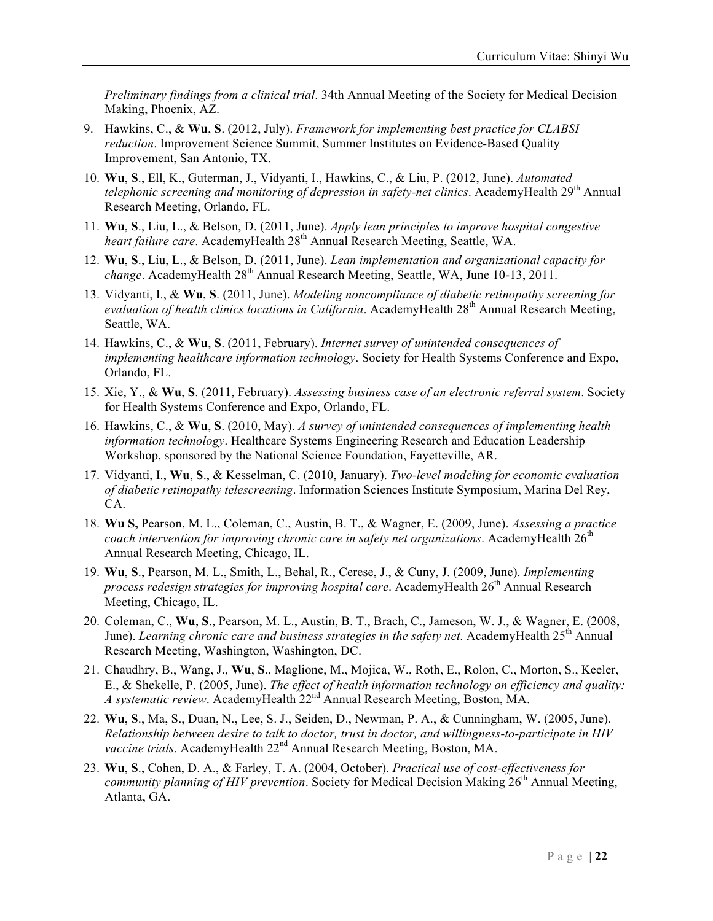*Preliminary findings from a clinical trial*. 34th Annual Meeting of the Society for Medical Decision Making, Phoenix, AZ.

- 9. Hawkins, C., & **Wu**, **S**. (2012, July). *Framework for implementing best practice for CLABSI reduction*. Improvement Science Summit, Summer Institutes on Evidence-Based Quality Improvement, San Antonio, TX.
- 10. **Wu**, **S**., Ell, K., Guterman, J., Vidyanti, I., Hawkins, C., & Liu, P. (2012, June). *Automated telephonic screening and monitoring of depression in safety-net clinics*. AcademyHealth 29<sup>th</sup> Annual Research Meeting, Orlando, FL.
- 11. **Wu**, **S**., Liu, L., & Belson, D. (2011, June). *Apply lean principles to improve hospital congestive heart failure care.* AcademyHealth 28<sup>th</sup> Annual Research Meeting, Seattle, WA.
- 12. **Wu**, **S**., Liu, L., & Belson, D. (2011, June). *Lean implementation and organizational capacity for change*. AcademyHealth 28th Annual Research Meeting, Seattle, WA, June 10-13, 2011.
- 13. Vidyanti, I., & **Wu**, **S**. (2011, June). *Modeling noncompliance of diabetic retinopathy screening for evaluation of health clinics locations in California.* AcademyHealth 28<sup>th</sup> Annual Research Meeting, Seattle, WA.
- 14. Hawkins, C., & **Wu**, **S**. (2011, February). *Internet survey of unintended consequences of implementing healthcare information technology*. Society for Health Systems Conference and Expo, Orlando, FL.
- 15. Xie, Y., & **Wu**, **S**. (2011, February). *Assessing business case of an electronic referral system*. Society for Health Systems Conference and Expo, Orlando, FL.
- 16. Hawkins, C., & **Wu**, **S**. (2010, May). *A survey of unintended consequences of implementing health information technology*. Healthcare Systems Engineering Research and Education Leadership Workshop, sponsored by the National Science Foundation, Fayetteville, AR.
- 17. Vidyanti, I., **Wu**, **S**., & Kesselman, C. (2010, January). *Two-level modeling for economic evaluation of diabetic retinopathy telescreening*. Information Sciences Institute Symposium, Marina Del Rey, CA.
- 18. **Wu S,** Pearson, M. L., Coleman, C., Austin, B. T., & Wagner, E. (2009, June). *Assessing a practice coach intervention for improving chronic care in safety net organizations.* AcademyHealth 26<sup>th</sup> Annual Research Meeting, Chicago, IL.
- 19. **Wu**, **S**., Pearson, M. L., Smith, L., Behal, R., Cerese, J., & Cuny, J. (2009, June). *Implementing process redesign strategies for improving hospital care.* AcademyHealth 26<sup>th</sup> Annual Research Meeting, Chicago, IL.
- 20. Coleman, C., **Wu**, **S**., Pearson, M. L., Austin, B. T., Brach, C., Jameson, W. J., & Wagner, E. (2008, June). *Learning chronic care and business strategies in the safety net*. AcademyHealth 25<sup>th</sup> Annual Research Meeting, Washington, Washington, DC.
- 21. Chaudhry, B., Wang, J., **Wu**, **S**., Maglione, M., Mojica, W., Roth, E., Rolon, C., Morton, S., Keeler, E., & Shekelle, P. (2005, June). *The effect of health information technology on efficiency and quality: A systematic review*. AcademyHealth 22nd Annual Research Meeting, Boston, MA.
- 22. **Wu**, **S**., Ma, S., Duan, N., Lee, S. J., Seiden, D., Newman, P. A., & Cunningham, W. (2005, June). *Relationship between desire to talk to doctor, trust in doctor, and willingness-to-participate in HIV vaccine trials*. AcademyHealth 22nd Annual Research Meeting, Boston, MA.
- 23. **Wu**, **S**., Cohen, D. A., & Farley, T. A. (2004, October). *Practical use of cost-effectiveness for community planning of HIV prevention.* Society for Medical Decision Making 26<sup>th</sup> Annual Meeting, Atlanta, GA.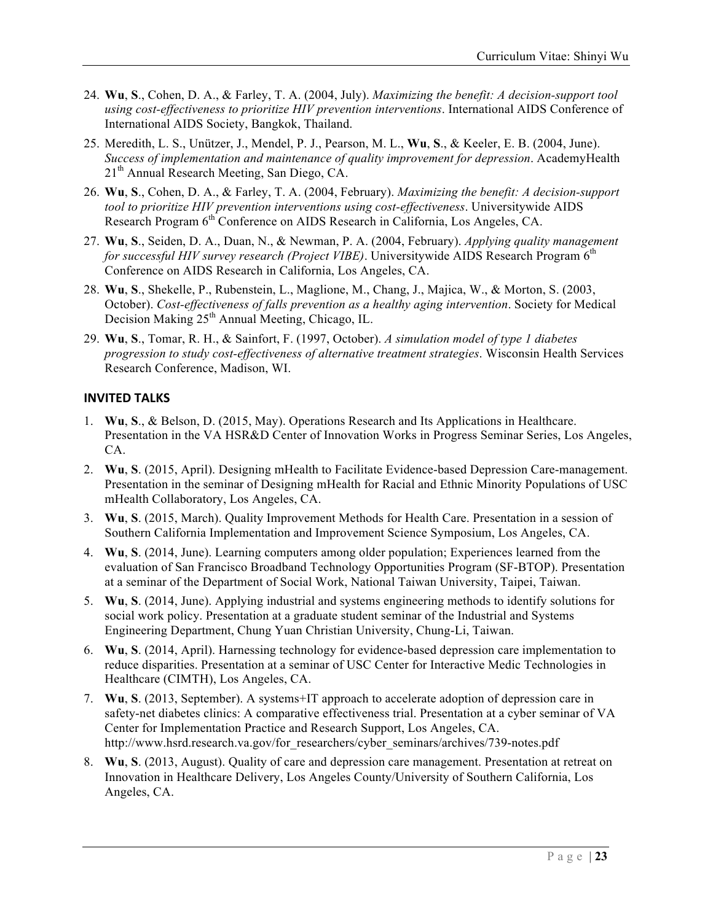- 24. **Wu**, **S**., Cohen, D. A., & Farley, T. A. (2004, July). *Maximizing the benefit: A decision-support tool using cost-effectiveness to prioritize HIV prevention interventions*. International AIDS Conference of International AIDS Society, Bangkok, Thailand.
- 25. Meredith, L. S., Unützer, J., Mendel, P. J., Pearson, M. L., **Wu**, **S**., & Keeler, E. B. (2004, June). *Success of implementation and maintenance of quality improvement for depression*. AcademyHealth 21<sup>th</sup> Annual Research Meeting, San Diego, CA.
- 26. **Wu**, **S**., Cohen, D. A., & Farley, T. A. (2004, February). *Maximizing the benefit: A decision-support tool to prioritize HIV prevention interventions using cost-effectiveness*. Universitywide AIDS Research Program 6<sup>th</sup> Conference on AIDS Research in California, Los Angeles, CA.
- 27. **Wu**, **S**., Seiden, D. A., Duan, N., & Newman, P. A. (2004, February). *Applying quality management for successful HIV survey research (Project VIBE)*. Universitywide AIDS Research Program 6<sup>th</sup> Conference on AIDS Research in California, Los Angeles, CA.
- 28. **Wu**, **S**., Shekelle, P., Rubenstein, L., Maglione, M., Chang, J., Majica, W., & Morton, S. (2003, October). *Cost-effectiveness of falls prevention as a healthy aging intervention*. Society for Medical Decision Making 25<sup>th</sup> Annual Meeting, Chicago, IL.
- 29. **Wu**, **S**., Tomar, R. H., & Sainfort, F. (1997, October). *A simulation model of type 1 diabetes progression to study cost-effectiveness of alternative treatment strategies*. Wisconsin Health Services Research Conference, Madison, WI.

### **INVITED TALKS**

- 1. **Wu**, **S**., & Belson, D. (2015, May). Operations Research and Its Applications in Healthcare. Presentation in the VA HSR&D Center of Innovation Works in Progress Seminar Series, Los Angeles, CA.
- 2. **Wu**, **S**. (2015, April). Designing mHealth to Facilitate Evidence-based Depression Care-management. Presentation in the seminar of Designing mHealth for Racial and Ethnic Minority Populations of USC mHealth Collaboratory, Los Angeles, CA.
- 3. **Wu**, **S**. (2015, March). Quality Improvement Methods for Health Care. Presentation in a session of Southern California Implementation and Improvement Science Symposium, Los Angeles, CA.
- 4. **Wu**, **S**. (2014, June). Learning computers among older population; Experiences learned from the evaluation of San Francisco Broadband Technology Opportunities Program (SF-BTOP). Presentation at a seminar of the Department of Social Work, National Taiwan University, Taipei, Taiwan.
- 5. **Wu**, **S**. (2014, June). Applying industrial and systems engineering methods to identify solutions for social work policy. Presentation at a graduate student seminar of the Industrial and Systems Engineering Department, Chung Yuan Christian University, Chung-Li, Taiwan.
- 6. **Wu**, **S**. (2014, April). Harnessing technology for evidence-based depression care implementation to reduce disparities. Presentation at a seminar of USC Center for Interactive Medic Technologies in Healthcare (CIMTH), Los Angeles, CA.
- 7. **Wu**, **S**. (2013, September). A systems+IT approach to accelerate adoption of depression care in safety-net diabetes clinics: A comparative effectiveness trial. Presentation at a cyber seminar of VA Center for Implementation Practice and Research Support, Los Angeles, CA. http://www.hsrd.research.va.gov/for\_researchers/cyber\_seminars/archives/739-notes.pdf
- 8. **Wu**, **S**. (2013, August). Quality of care and depression care management. Presentation at retreat on Innovation in Healthcare Delivery, Los Angeles County/University of Southern California, Los Angeles, CA.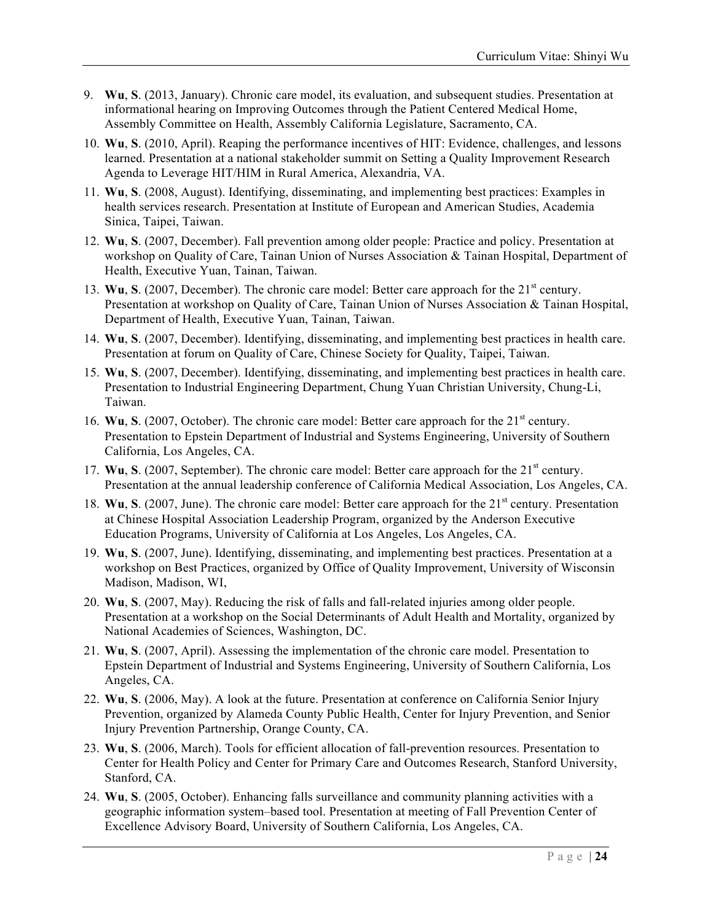- 9. **Wu**, **S**. (2013, January). Chronic care model, its evaluation, and subsequent studies. Presentation at informational hearing on Improving Outcomes through the Patient Centered Medical Home, Assembly Committee on Health, Assembly California Legislature, Sacramento, CA.
- 10. **Wu**, **S**. (2010, April). Reaping the performance incentives of HIT: Evidence, challenges, and lessons learned. Presentation at a national stakeholder summit on Setting a Quality Improvement Research Agenda to Leverage HIT/HIM in Rural America, Alexandria, VA.
- 11. **Wu**, **S**. (2008, August). Identifying, disseminating, and implementing best practices: Examples in health services research. Presentation at Institute of European and American Studies, Academia Sinica, Taipei, Taiwan.
- 12. **Wu**, **S**. (2007, December). Fall prevention among older people: Practice and policy. Presentation at workshop on Quality of Care, Tainan Union of Nurses Association & Tainan Hospital, Department of Health, Executive Yuan, Tainan, Taiwan.
- 13. **Wu**, **S**. (2007, December). The chronic care model: Better care approach for the 21<sup>st</sup> century. Presentation at workshop on Quality of Care, Tainan Union of Nurses Association & Tainan Hospital, Department of Health, Executive Yuan, Tainan, Taiwan.
- 14. **Wu**, **S**. (2007, December). Identifying, disseminating, and implementing best practices in health care. Presentation at forum on Quality of Care, Chinese Society for Quality, Taipei, Taiwan.
- 15. **Wu**, **S**. (2007, December). Identifying, disseminating, and implementing best practices in health care. Presentation to Industrial Engineering Department, Chung Yuan Christian University, Chung-Li, Taiwan.
- 16. **Wu**, **S**. (2007, October). The chronic care model: Better care approach for the 21<sup>st</sup> century. Presentation to Epstein Department of Industrial and Systems Engineering, University of Southern California, Los Angeles, CA.
- 17. **Wu**, **S**. (2007, September). The chronic care model: Better care approach for the 21<sup>st</sup> century. Presentation at the annual leadership conference of California Medical Association, Los Angeles, CA.
- 18. **Wu**, **S**. (2007, June). The chronic care model: Better care approach for the 21<sup>st</sup> century. Presentation at Chinese Hospital Association Leadership Program, organized by the Anderson Executive Education Programs, University of California at Los Angeles, Los Angeles, CA.
- 19. **Wu**, **S**. (2007, June). Identifying, disseminating, and implementing best practices. Presentation at a workshop on Best Practices, organized by Office of Quality Improvement, University of Wisconsin Madison, Madison, WI,
- 20. **Wu**, **S**. (2007, May). Reducing the risk of falls and fall-related injuries among older people. Presentation at a workshop on the Social Determinants of Adult Health and Mortality, organized by National Academies of Sciences, Washington, DC.
- 21. **Wu**, **S**. (2007, April). Assessing the implementation of the chronic care model. Presentation to Epstein Department of Industrial and Systems Engineering, University of Southern California, Los Angeles, CA.
- 22. **Wu**, **S**. (2006, May). A look at the future. Presentation at conference on California Senior Injury Prevention, organized by Alameda County Public Health, Center for Injury Prevention, and Senior Injury Prevention Partnership, Orange County, CA.
- 23. **Wu**, **S**. (2006, March). Tools for efficient allocation of fall-prevention resources. Presentation to Center for Health Policy and Center for Primary Care and Outcomes Research, Stanford University, Stanford, CA.
- 24. **Wu**, **S**. (2005, October). Enhancing falls surveillance and community planning activities with a geographic information system–based tool. Presentation at meeting of Fall Prevention Center of Excellence Advisory Board, University of Southern California, Los Angeles, CA.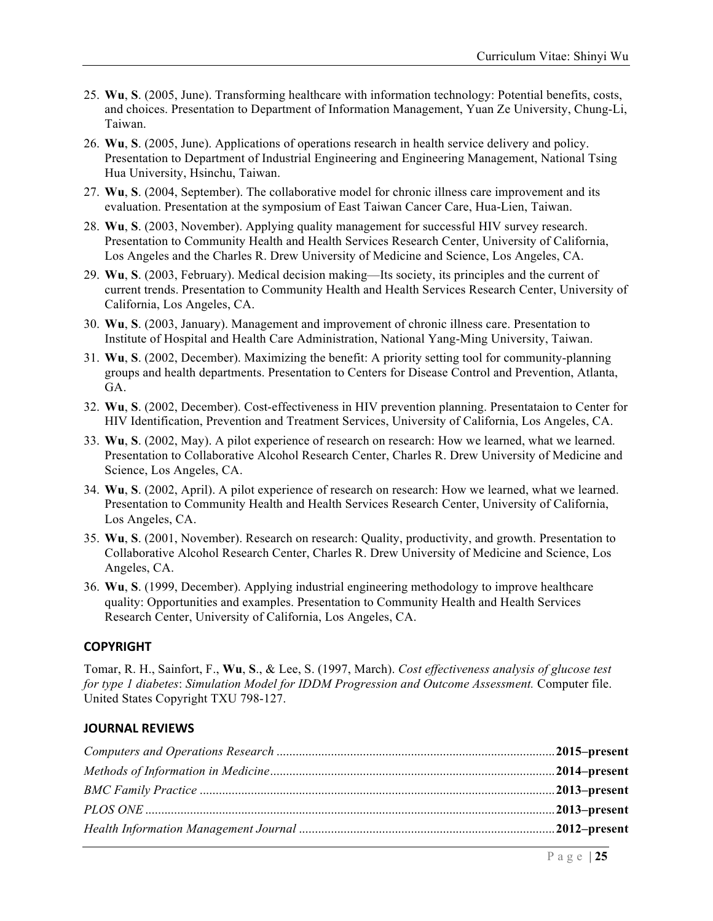- 25. **Wu**, **S**. (2005, June). Transforming healthcare with information technology: Potential benefits, costs, and choices. Presentation to Department of Information Management, Yuan Ze University, Chung-Li, Taiwan.
- 26. **Wu**, **S**. (2005, June). Applications of operations research in health service delivery and policy. Presentation to Department of Industrial Engineering and Engineering Management, National Tsing Hua University, Hsinchu, Taiwan.
- 27. **Wu**, **S**. (2004, September). The collaborative model for chronic illness care improvement and its evaluation. Presentation at the symposium of East Taiwan Cancer Care, Hua-Lien, Taiwan.
- 28. **Wu**, **S**. (2003, November). Applying quality management for successful HIV survey research. Presentation to Community Health and Health Services Research Center, University of California, Los Angeles and the Charles R. Drew University of Medicine and Science, Los Angeles, CA.
- 29. **Wu**, **S**. (2003, February). Medical decision making—Its society, its principles and the current of current trends. Presentation to Community Health and Health Services Research Center, University of California, Los Angeles, CA.
- 30. **Wu**, **S**. (2003, January). Management and improvement of chronic illness care. Presentation to Institute of Hospital and Health Care Administration, National Yang-Ming University, Taiwan.
- 31. **Wu**, **S**. (2002, December). Maximizing the benefit: A priority setting tool for community-planning groups and health departments. Presentation to Centers for Disease Control and Prevention, Atlanta, GA.
- 32. **Wu**, **S**. (2002, December). Cost-effectiveness in HIV prevention planning. Presentataion to Center for HIV Identification, Prevention and Treatment Services, University of California, Los Angeles, CA.
- 33. **Wu**, **S**. (2002, May). A pilot experience of research on research: How we learned, what we learned. Presentation to Collaborative Alcohol Research Center, Charles R. Drew University of Medicine and Science, Los Angeles, CA.
- 34. **Wu**, **S**. (2002, April). A pilot experience of research on research: How we learned, what we learned. Presentation to Community Health and Health Services Research Center, University of California, Los Angeles, CA.
- 35. **Wu**, **S**. (2001, November). Research on research: Quality, productivity, and growth. Presentation to Collaborative Alcohol Research Center, Charles R. Drew University of Medicine and Science, Los Angeles, CA.
- 36. **Wu**, **S**. (1999, December). Applying industrial engineering methodology to improve healthcare quality: Opportunities and examples. Presentation to Community Health and Health Services Research Center, University of California, Los Angeles, CA.

### **COPYRIGHT**

Tomar, R. H., Sainfort, F., **Wu**, **S**., & Lee, S. (1997, March). *Cost effectiveness analysis of glucose test for type 1 diabetes*: *Simulation Model for IDDM Progression and Outcome Assessment.* Computer file. United States Copyright TXU 798-127.

#### **JOURNAL REVIEWS**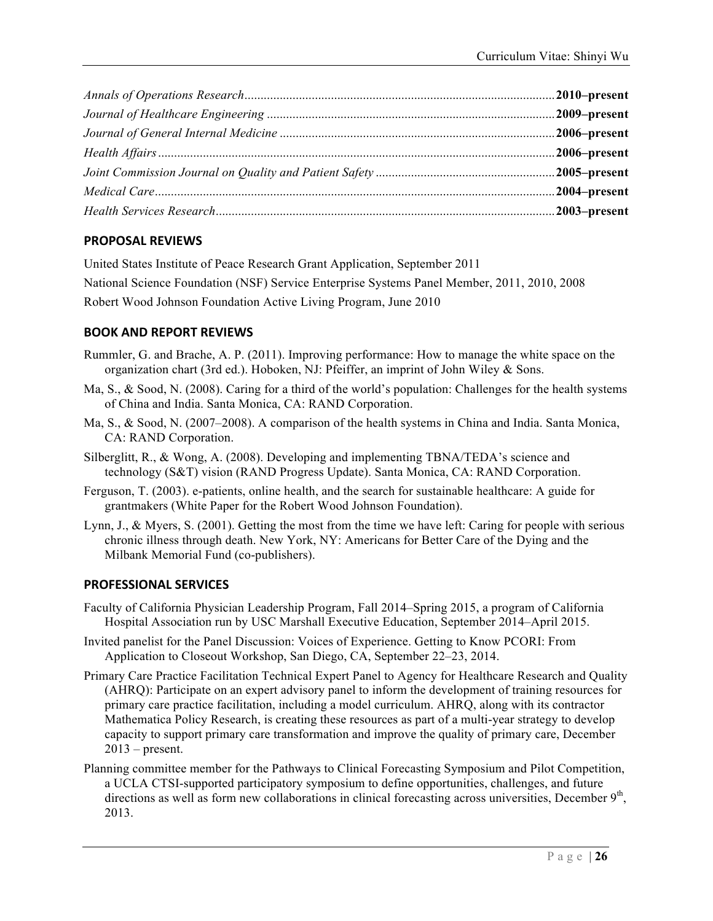### **PROPOSAL REVIEWS**

United States Institute of Peace Research Grant Application, September 2011 National Science Foundation (NSF) Service Enterprise Systems Panel Member, 2011, 2010, 2008 Robert Wood Johnson Foundation Active Living Program, June 2010

### **BOOK AND REPORT REVIEWS**

- Rummler, G. and Brache, A. P. (2011). Improving performance: How to manage the white space on the organization chart (3rd ed.). Hoboken, NJ: Pfeiffer, an imprint of John Wiley & Sons.
- Ma, S., & Sood, N. (2008). Caring for a third of the world's population: Challenges for the health systems of China and India. Santa Monica, CA: RAND Corporation.
- Ma, S., & Sood, N. (2007–2008). A comparison of the health systems in China and India. Santa Monica, CA: RAND Corporation.
- Silberglitt, R., & Wong, A. (2008). Developing and implementing TBNA/TEDA's science and technology (S&T) vision (RAND Progress Update). Santa Monica, CA: RAND Corporation.
- Ferguson, T. (2003). e-patients, online health, and the search for sustainable healthcare: A guide for grantmakers (White Paper for the Robert Wood Johnson Foundation).
- Lynn, J., & Myers, S. (2001). Getting the most from the time we have left: Caring for people with serious chronic illness through death. New York, NY: Americans for Better Care of the Dying and the Milbank Memorial Fund (co-publishers).

### **PROFESSIONAL SERVICES**

- Faculty of California Physician Leadership Program, Fall 2014–Spring 2015, a program of California Hospital Association run by USC Marshall Executive Education, September 2014–April 2015.
- Invited panelist for the Panel Discussion: Voices of Experience. Getting to Know PCORI: From Application to Closeout Workshop, San Diego, CA, September 22–23, 2014.
- Primary Care Practice Facilitation Technical Expert Panel to Agency for Healthcare Research and Quality (AHRQ): Participate on an expert advisory panel to inform the development of training resources for primary care practice facilitation, including a model curriculum. AHRQ, along with its contractor Mathematica Policy Research, is creating these resources as part of a multi-year strategy to develop capacity to support primary care transformation and improve the quality of primary care, December  $2013$  – present.
- Planning committee member for the Pathways to Clinical Forecasting Symposium and Pilot Competition, a UCLA CTSI-supported participatory symposium to define opportunities, challenges, and future directions as well as form new collaborations in clinical forecasting across universities, December  $9<sup>th</sup>$ , 2013.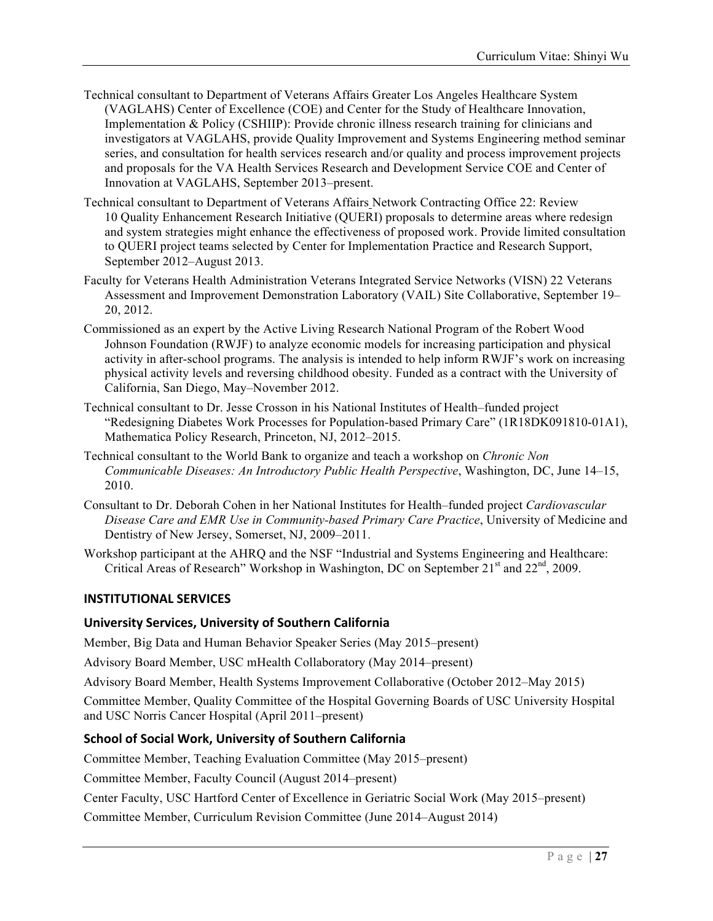- Technical consultant to Department of Veterans Affairs Greater Los Angeles Healthcare System (VAGLAHS) Center of Excellence (COE) and Center for the Study of Healthcare Innovation, Implementation & Policy (CSHIIP): Provide chronic illness research training for clinicians and investigators at VAGLAHS, provide Quality Improvement and Systems Engineering method seminar series, and consultation for health services research and/or quality and process improvement projects and proposals for the VA Health Services Research and Development Service COE and Center of Innovation at VAGLAHS, September 2013–present.
- Technical consultant to Department of Veterans Affairs Network Contracting Office 22: Review 10 Quality Enhancement Research Initiative (QUERI) proposals to determine areas where redesign and system strategies might enhance the effectiveness of proposed work. Provide limited consultation to QUERI project teams selected by Center for Implementation Practice and Research Support, September 2012–August 2013.
- Faculty for Veterans Health Administration Veterans Integrated Service Networks (VISN) 22 Veterans Assessment and Improvement Demonstration Laboratory (VAIL) Site Collaborative, September 19– 20, 2012.
- Commissioned as an expert by the Active Living Research National Program of the Robert Wood Johnson Foundation (RWJF) to analyze economic models for increasing participation and physical activity in after-school programs. The analysis is intended to help inform RWJF's work on increasing physical activity levels and reversing childhood obesity. Funded as a contract with the University of California, San Diego, May–November 2012.
- Technical consultant to Dr. Jesse Crosson in his National Institutes of Health–funded project "Redesigning Diabetes Work Processes for Population-based Primary Care" (1R18DK091810-01A1), Mathematica Policy Research, Princeton, NJ, 2012–2015.
- Technical consultant to the World Bank to organize and teach a workshop on *Chronic Non Communicable Diseases: An Introductory Public Health Perspective*, Washington, DC, June 14–15, 2010.
- Consultant to Dr. Deborah Cohen in her National Institutes for Health–funded project *Cardiovascular Disease Care and EMR Use in Community-based Primary Care Practice*, University of Medicine and Dentistry of New Jersey, Somerset, NJ, 2009–2011.
- Workshop participant at the AHRQ and the NSF "Industrial and Systems Engineering and Healthcare: Critical Areas of Research" Workshop in Washington, DC on September  $21<sup>st</sup>$  and  $22<sup>nd</sup>$ , 2009.

### **INSTITUTIONAL SERVICES**

#### **University Services, University of Southern California**

Member, Big Data and Human Behavior Speaker Series (May 2015–present)

Advisory Board Member, USC mHealth Collaboratory (May 2014–present)

Advisory Board Member, Health Systems Improvement Collaborative (October 2012–May 2015)

Committee Member, Quality Committee of the Hospital Governing Boards of USC University Hospital and USC Norris Cancer Hospital (April 2011–present)

### **School of Social Work, University of Southern California**

Committee Member, Teaching Evaluation Committee (May 2015–present)

Committee Member, Faculty Council (August 2014–present)

Center Faculty, USC Hartford Center of Excellence in Geriatric Social Work (May 2015–present)

Committee Member, Curriculum Revision Committee (June 2014–August 2014)